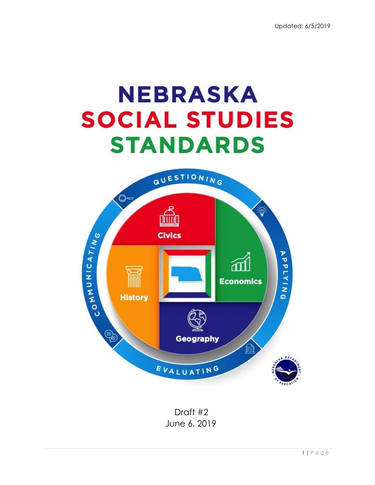



 Draft #2 June 6, 2019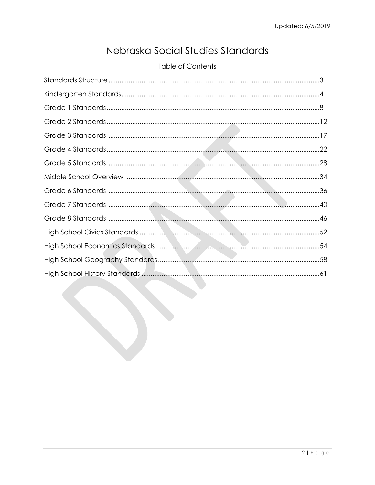# Nebraska Social Studies Standards

# **Table of Contents**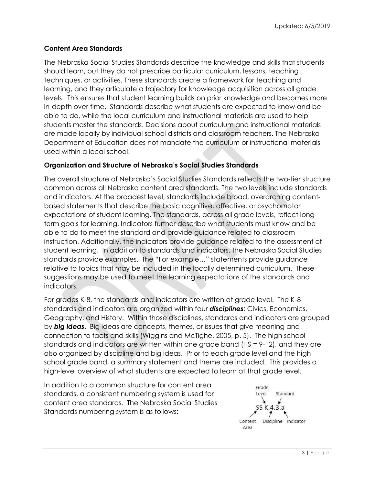# **Content Area Standards**

The Nebraska Social Studies Standards describe the knowledge and skills that students should learn, but they do not prescribe particular curriculum, lessons, teaching techniques, or activities. These standards create a framework for teaching and learning, and they articulate a trajectory for knowledge acquisition across all grade levels. This ensures that student learning builds on prior knowledge and becomes more in-depth over time. Standards describe what students are expected to know and be able to do, while the local curriculum and instructional materials are used to help students master the standards. Decisions about curriculum and instructional materials are made locally by individual school districts and classroom teachers. The Nebraska Department of Education does not mandate the curriculum or instructional materials used within a local school.

# **Organization and Structure of Nebraska's Social Studies Standards**

The overall structure of Nebraska's Social Studies Standards reflects the two-tier structure common across all Nebraska content area standards. The two levels include standards and indicators. At the broadest level, standards include broad, overarching contentbased statements that describe the basic cognitive, affective, or psychomotor expectations of student learning. The standards, across all grade levels, reflect longterm goals for learning. Indicators further describe what students must know and be able to do to meet the standard and provide guidance related to classroom instruction. Additionally, the indicators provide guidance related to the assessment of student learning. In addition to standards and indicators, the Nebraska Social Studies standards provide examples. The "For example…" statements provide guidance relative to topics that may be included in the locally determined curriculum. These suggestions may be used to meet the learning expectations of the standards and indicators.

For grades K-8, the standards and indicators are written at grade level. The K-8 standards and indicators are organized within four *disciplines*: Civics, Economics, Geography, and History. Within those disciplines, standards and indicators are grouped by *big ideas*. Big ideas are concepts, themes, or issues that give meaning and connection to facts and skills (Wiggins and McTighe, 2005, p. 5). The high school standards and indicators are written within one grade band (HS = 9-12), and they are also organized by discipline and big ideas. Prior to each grade level and the high school grade band, a summary statement and theme are included. This provides a high-level overview of what students are expected to learn at that grade level.

In addition to a common structure for content area standards, a consistent numbering system is used for content area standards. The Nebraska Social Studies Standards numbering system is as follows:

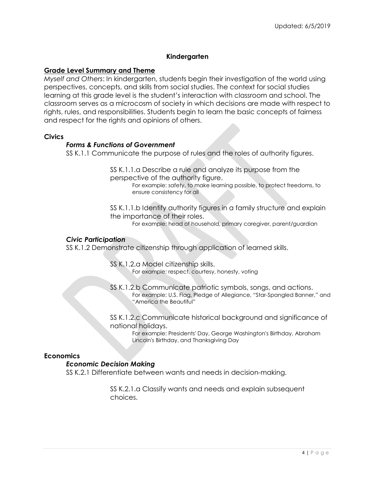# **Kindergarten**

### **Grade Level Summary and Theme**

*Myself and Others*: In kindergarten, students begin their investigation of the world using perspectives, concepts, and skills from social studies. The context for social studies learning at this grade level is the student's interaction with classroom and school. The classroom serves as a microcosm of society in which decisions are made with respect to rights, rules, and responsibilities. Students begin to learn the basic concepts of fairness and respect for the rights and opinions of others.

#### **Civics**

### *Forms & Functions of Government*

SS K.1.1 Communicate the purpose of rules and the roles of authority figures.

SS K.1.1.a Describe a rule and analyze its purpose from the perspective of the authority figure.

For example: safety, to make learning possible, to protect freedoms, to ensure consistency for all

SS K.1.1.b Identify authority figures in a family structure and explain the importance of their roles.

For example: head of household, primary caregiver, parent/guardian

### *Civic Participation*

SS K.1.2 Demonstrate citizenship through application of learned skills.

SS K.1.2.a Model citizenship skills. For example: respect, courtesy, honesty, voting

SS K.1.2.b Communicate patriotic symbols, songs, and actions. For example: U.S. Flag, Pledge of Allegiance, "Star-Spangled Banner," and "America the Beautiful"

SS K.1.2.c Communicate historical background and significance of national holidays.

For example: Presidents' Day, George Washington's Birthday, Abraham Lincoln's Birthday, and Thanksgiving Day

### **Economics**

#### *Economic Decision Making*

SS K.2.1 Differentiate between wants and needs in decision-making.

SS K.2.1.a Classify wants and needs and explain subsequent choices.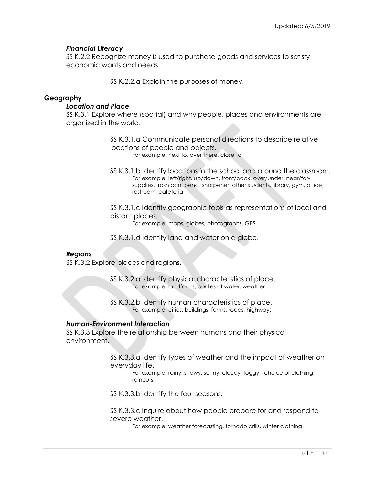# *Financial Literacy*

SS K.2.2 Recognize money is used to purchase goods and services to satisfy economic wants and needs.

SS K.2.2.a Explain the purposes of money.

# **Geography**

### *Location and Place*

SS K.3.1 Explore where (spatial) and why people, places and environments are organized in the world.

> SS K.3.1.a Communicate personal directions to describe relative locations of people and objects. For example: next to, over there, close to

SS K.3.1.b Identify locations in the school and around the classroom. For example: left/right, up/down, front/back, over/under, near/farsupplies, trash can, pencil sharpener, other students, library, gym, office, restroom, cafeteria

SS K.3.1.c Identify geographic tools as representations of local and distant places.

For example: maps, globes, photographs, GPS

SS K.3.1.d Identify land and water on a globe.

# *Regions*

SS K.3.2 Explore places and regions.

SS K.3.2.a Identify physical characteristics of place. For example: landforms, bodies of water, weather

SS K.3.2.b Identify human characteristics of place. For example: cities, buildings, farms, roads, highways

### *Human-Environment Interaction*

SS K.3.3 Explore the relationship between humans and their physical environment.

> SS K.3.3.a Identify types of weather and the impact of weather on everyday life.

> > For example: rainy, snowy, sunny, cloudy, foggy - choice of clothing, rainouts

SS K.3.3.b Identify the four seasons.

SS K.3.3.c Inquire about how people prepare for and respond to severe weather.

For example: weather forecasting, tornado drills, winter clothing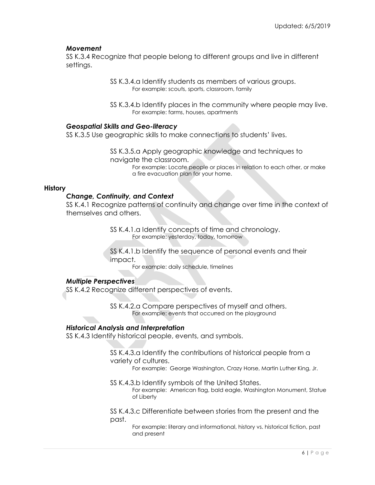### *Movement*

SS K.3.4 Recognize that people belong to different groups and live in different settings.

> SS K.3.4.a Identify students as members of various groups. For example: scouts, sports, classroom, family

SS K.3.4.b Identify places in the community where people may live. For example: farms, houses, apartments

### *Geospatial Skills and Geo-literacy*

SS K.3.5 Use geographic skills to make connections to students' lives.

SS K.3.5.a Apply geographic knowledge and techniques to navigate the classroom.

For example: Locate people or places in relation to each other, or make a fire evacuation plan for your home.

### **History**

### *Change, Continuity, and Context*

SS K.4.1 Recognize patterns of continuity and change over time in the context of themselves and others.

> SS K.4.1.a Identify concepts of time and chronology. For example: yesterday, today, tomorrow

SS K.4.1.b Identify the sequence of personal events and their impact.

For example: daily schedule, timelines

#### *Multiple Perspectives*

SS K.4.2 Recognize different perspectives of events.

SS K.4.2.a Compare perspectives of myself and others. For example: events that occurred on the playground

#### *Historical Analysis and Interpretation*

SS K.4.3 Identify historical people, events, and symbols.

SS K.4.3.a Identify the contributions of historical people from a variety of cultures.

For example: George Washington, Crazy Horse, Martin Luther King, Jr.

SS K.4.3.b Identify symbols of the United States. For example: American flag, bald eagle, Washington Monument, Statue of Liberty

SS K.4.3.c Differentiate between stories from the present and the past.

For example: literary and informational, history vs. historical fiction, past and present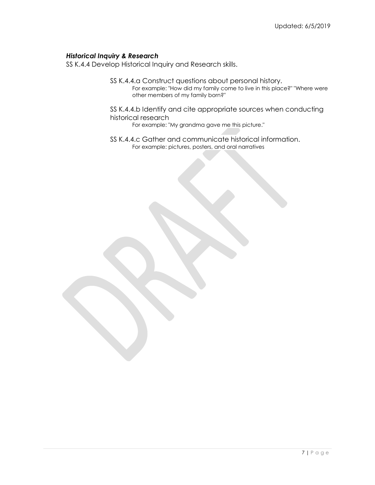### *Historical Inquiry & Research*

SS K.4.4 Develop Historical Inquiry and Research skills.

SS K.4.4.a Construct questions about personal history. For example: "How did my family come to live in this place?" "Where were other members of my family born?"

# SS K.4.4.b Identify and cite appropriate sources when conducting historical research

For example: "My grandma gave me this picture."

SS K.4.4.c Gather and communicate historical information. For example: pictures, posters, and oral narratives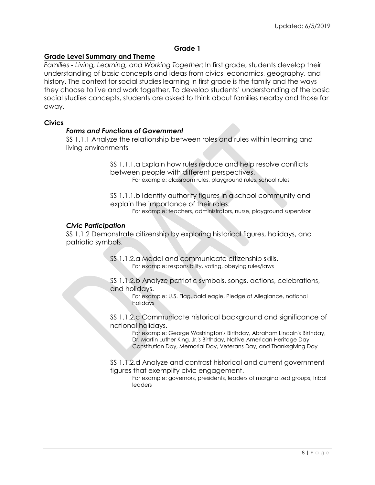### **Grade 1**

### **Grade Level Summary and Theme**

*Families - Living, Learning, and Working Together*: In first grade, students develop their understanding of basic concepts and ideas from civics, economics, geography, and history. The context for social studies learning in first grade is the family and the ways they choose to live and work together. To develop students' understanding of the basic social studies concepts, students are asked to think about families nearby and those far away.

#### **Civics**

#### *Forms and Functions of Government*

SS 1.1.1 Analyze the relationship between roles and rules within learning and living environments

> SS 1.1.1.a Explain how rules reduce and help resolve conflicts between people with different perspectives. For example: classroom rules, playground rules, school rules

SS 1.1.1.b Identify authority figures in a school community and explain the importance of their roles.

For example: teachers, administrators, nurse, playground supervisor

#### *Civic Participation*

SS 1.1.2 Demonstrate citizenship by exploring historical figures, holidays, and patriotic symbols.

> SS 1.1.2.a Model and communicate citizenship skills. For example: responsibility, voting, obeying rules/laws

SS 1.1.2.b Analyze patriotic symbols, songs, actions, celebrations, and holidays.

> For example: U.S. Flag, bald eagle, Pledge of Allegiance, national holidays

SS 1.1.2.c Communicate historical background and significance of national holidays.

> For example: George Washington's Birthday, Abraham Lincoln's Birthday, Dr. Martin Luther King, Jr.'s Birthday, Native American Heritage Day, Constitution Day, Memorial Day, Veterans Day, and Thanksgiving Day

SS 1.1.2.d Analyze and contrast historical and current government figures that exemplify civic engagement.

> For example: governors, presidents, leaders of marginalized groups, tribal leaders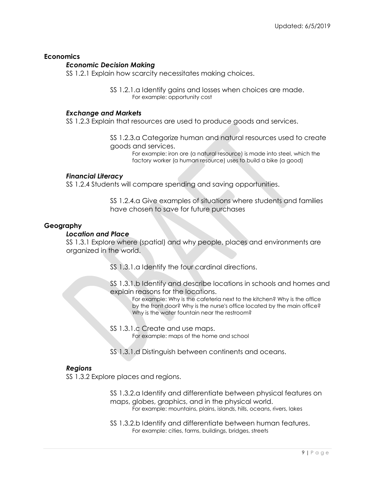# **Economics**

### *Economic Decision Making*

SS 1.2.1 Explain how scarcity necessitates making choices.

SS 1.2.1.a Identify gains and losses when choices are made. For example: opportunity cost

### *Exchange and Markets*

SS 1.2.3 Explain that resources are used to produce goods and services.

SS 1.2.3.a Categorize human and natural resources used to create goods and services.

> For example: iron ore (a natural resource) is made into steel, which the factory worker (a human resource) uses to build a bike (a good)

#### *Financial Literacy*

SS 1.2.4 Students will compare spending and saving opportunities.

SS 1.2.4.a Give examples of situations where students and families have chosen to save for future purchases

### **Geography**

### *Location and Place*

SS 1.3.1 Explore where (spatial) and why people, places and environments are organized in the world.

SS 1.3.1.a Identify the four cardinal directions.

SS 1.3.1.b Identify and describe locations in schools and homes and explain reasons for the locations.

For example: Why is the cafeteria next to the kitchen? Why is the office by the front door? Why is the nurse's office located by the main office? Why is the water fountain near the restroom?

- SS 1.3.1.c Create and use maps. For example: maps of the home and school
- SS 1.3.1.d Distinguish between continents and oceans.

#### *Regions*

SS 1.3.2 Explore places and regions.

- SS 1.3.2.a Identify and differentiate between physical features on maps, globes, graphics, and in the physical world. For example: mountains, plains, islands, hills, oceans, rivers, lakes
- SS 1.3.2.b Identify and differentiate between human features. For example: cities, farms, buildings, bridges, streets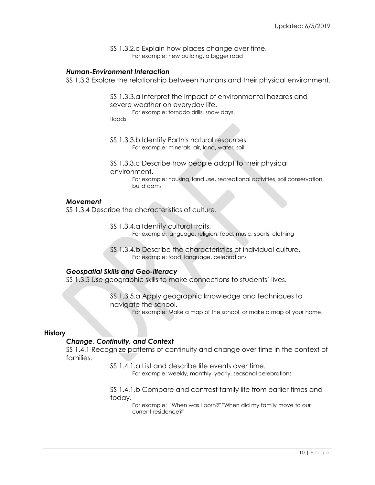SS 1.3.2.c Explain how places change over time. For example: new building, a bigger road

#### *Human-Environment Interaction*

SS 1.3.3 Explore the relationship between humans and their physical environment.

SS 1.3.3.a Interpret the impact of environmental hazards and severe weather on everyday life.

For example: tornado drills, snow days,

floods

SS 1.3.3.b Identify Earth's natural resources. For example: minerals, air, land, water, soil

SS 1.3.3.c Describe how people adapt to their physical environment.

> For example: housing, land use, recreational activities, soil conservation, build dams

#### *Movement*

SS 1.3.4 Describe the characteristics of culture.

SS 1.3.4.a Identify cultural traits. For example: language, religion, food, music, sports, clothing

SS 1.3.4.b Describe the characteristics of individual culture. For example: food, language, celebrations

### *Geospatial Skills and Geo-literacy*

SS 1.3.5 Use geographic skills to make connections to students' lives.

SS 1.3.5.a Apply geographic knowledge and techniques to navigate the school.

For example: Make a map of the school, or make a map of your home.

#### **History**

#### *Change, Continuity, and Context*

SS 1.4.1 Recognize patterns of continuity and change over time in the context of families.

> SS 1.4.1.a List and describe life events over time. For example: weekly, monthly, yearly, seasonal celebrations

SS 1.4.1.b Compare and contrast family life from earlier times and today.

For example: "When was I born?" "When did my family move to our current residence?"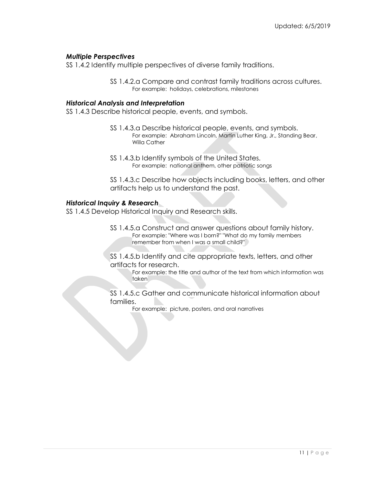# *Multiple Perspectives*

SS 1.4.2 Identify multiple perspectives of diverse family traditions.

SS 1.4.2.a Compare and contrast family traditions across cultures. For example: holidays, celebrations, milestones

### *Historical Analysis and Interpretation*

SS 1.4.3 Describe historical people, events, and symbols.

- SS 1.4.3.a Describe historical people, events, and symbols. For example: Abraham Lincoln, Martin Luther King, Jr., Standing Bear, Willa Cather
- SS 1.4.3.b Identify symbols of the United States. For example: national anthem, other patriotic songs

SS 1.4.3.c Describe how objects including books, letters, and other artifacts help us to understand the past.

# *Historical Inquiry & Research*

SS 1.4.5 Develop Historical Inquiry and Research skills.

SS 1.4.5.a Construct and answer questions about family history. For example: "Where was I born?" "What do my family members remember from when I was a small child?"

SS 1.4.5.b Identify and cite appropriate texts, letters, and other artifacts for research.

For example: the title and author of the text from which information was taken

SS 1.4.5.c Gather and communicate historical information about families.

For example: picture, posters, and oral narratives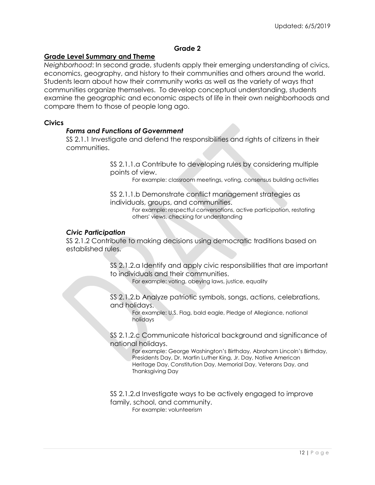### **Grade 2**

### **Grade Level Summary and Theme**

*Neighborhood*: In second grade, students apply their emerging understanding of civics, economics, geography, and history to their communities and others around the world. Students learn about how their community works as well as the variety of ways that communities organize themselves. To develop conceptual understanding, students examine the geographic and economic aspects of life in their own neighborhoods and compare them to those of people long ago.

#### **Civics**

### *Forms and Functions of Government*

SS 2.1.1 Investigate and defend the responsibilities and rights of citizens in their communities.

> SS 2.1.1.a Contribute to developing rules by considering multiple points of view.

For example: classroom meetings, voting, consensus building activities

SS 2.1.1.b Demonstrate conflict management strategies as individuals, groups, and communities.

For example: respectful conversations, active participation, restating others' views, checking for understanding

#### *Civic Participation*

SS 2.1.2 Contribute to making decisions using democratic traditions based on established rules.

> SS 2.1.2.a Identify and apply civic responsibilities that are important to individuals and their communities.

For example: voting, obeying laws, justice, equality

SS 2.1.2.b Analyze patriotic symbols, songs, actions, celebrations, and holidays.

For example: U.S. Flag, bald eagle, Pledge of Allegiance, national holidays

SS 2.1.2.c Communicate historical background and significance of national holidays.

For example: George Washington's Birthday, Abraham Lincoln's Birthday, Presidents Day, Dr. Martin Luther King, Jr. Day, Native American Heritage Day, Constitution Day, Memorial Day, Veterans Day, and Thanksgiving Day

SS 2.1.2.d Investigate ways to be actively engaged to improve family, school, and community. For example: volunteerism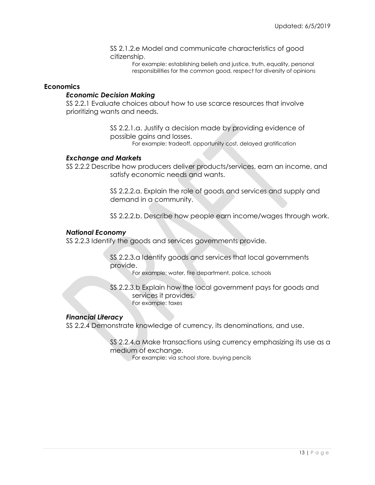SS 2.1.2.e Model and communicate characteristics of good citizenship.

> For example: establishing beliefs and justice, truth, equality, personal responsibilities for the common good, respect for diversity of opinions

#### **Economics**

### *Economic Decision Making*

SS 2.2.1 Evaluate choices about how to use scarce resources that involve prioritizing wants and needs.

> SS 2.2.1.a. Justify a decision made by providing evidence of possible gains and losses.

For example: tradeoff, opportunity cost, delayed gratification

### *Exchange and Markets*

SS 2.2.2 Describe how producers deliver products/services, earn an income, and satisfy economic needs and wants.

> SS 2.2.2.a. Explain the role of goods and services and supply and demand in a community.

SS 2.2.2.b. Describe how people earn income/wages through work.

### *National Economy*

SS 2.2.3 Identify the goods and services governments provide.

SS 2.2.3.a Identify goods and services that local governments provide.

For example: water, fire department, police, schools

SS 2.2.3.b Explain how the local government pays for goods and services it provides. For example: taxes

### *Financial Literacy*

SS 2.2.4 Demonstrate knowledge of currency, its denominations, and use.

SS 2.2.4.a Make transactions using currency emphasizing its use as a medium of exchange.

For example: via school store, buying pencils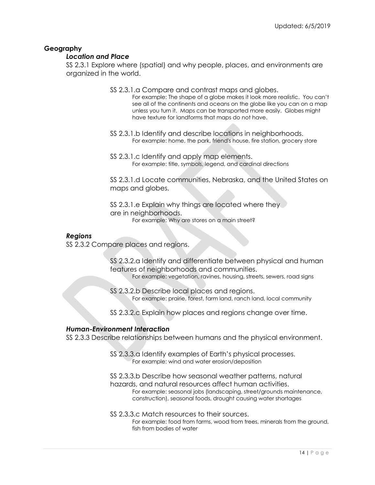# **Geography**

### *Location and Place*

SS 2.3.1 Explore where (spatial) and why people, places, and environments are organized in the world.

- SS 2.3.1.a Compare and contrast maps and globes.
	- For example: The shape of a globe makes it look more realistic. You can't see all of the continents and oceans on the globe like you can on a map unless you turn it. Maps can be transported more easily. Globes might have texture for landforms that maps do not have.
- SS 2.3.1.b Identify and describe locations in neighborhoods. For example: home, the park, friend's house, fire station, grocery store
- SS 2.3.1.c Identify and apply map elements. For example: title, symbols, legend, and cardinal directions

SS 2.3.1.d Locate communities, Nebraska, and the United States on maps and globes.

SS 2.3.1.e Explain why things are located where they are in neighborhoods. For example: Why are stores on a main street?

### *Regions*

SS 2.3.2 Compare places and regions.

SS 2.3.2.a Identify and differentiate between physical and human features of neighborhoods and communities. For example: vegetation, ravines, housing, streets, sewers, road signs

- SS 2.3.2.b Describe local places and regions. For example: prairie, forest, farm land, ranch land, local community
- SS 2.3.2.c Explain how places and regions change over time.

#### *Human-Environment Interaction*

SS 2.3.3 Describe relationships between humans and the physical environment.

- SS 2.3.3.a Identify examples of Earth's physical processes. For example: wind and water erosion/deposition
- SS 2.3.3.b Describe how seasonal weather patterns, natural hazards, and natural resources affect human activities. For example: seasonal jobs (landscaping, street/grounds maintenance, construction), seasonal foods, drought causing water shortages
- SS 2.3.3.c Match resources to their sources. For example: food from farms, wood from trees, minerals from the ground, fish from bodies of water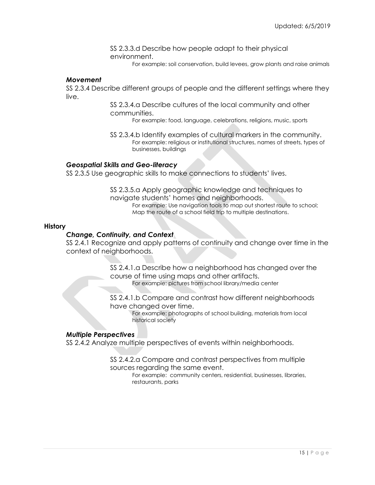SS 2.3.3.d Describe how people adapt to their physical environment.

For example: soil conservation, build levees, grow plants and raise animals

#### *Movement*

SS 2.3.4 Describe different groups of people and the different settings where they live.

> SS 2.3.4.a Describe cultures of the local community and other communities.

For example: food, language, celebrations, religions, music, sports

SS 2.3.4.b Identify examples of cultural markers in the community. For example: religious or institutional structures, names of streets, types of businesses, buildings

#### *Geospatial Skills and Geo-literacy*

SS 2.3.5 Use geographic skills to make connections to students' lives.

SS 2.3.5.a Apply geographic knowledge and techniques to navigate students' homes and neighborhoods. For example: Use navigation tools to map out shortest route to school; Map the route of a school field trip to multiple destinations.

#### **History**

#### *Change, Continuity, and Context*

SS 2.4.1 Recognize and apply patterns of continuity and change over time in the context of neighborhoods.

> SS 2.4.1.a Describe how a neighborhood has changed over the course of time using maps and other artifacts.

For example: pictures from school library/media center

SS 2.4.1.b Compare and contrast how different neighborhoods have changed over time.

For example: photographs of school building, materials from local historical society

#### *Multiple Perspectives*

SS 2.4.2 Analyze multiple perspectives of events within neighborhoods.

SS 2.4.2.a Compare and contrast perspectives from multiple sources regarding the same event.

For example: community centers, residential, businesses, libraries, restaurants, parks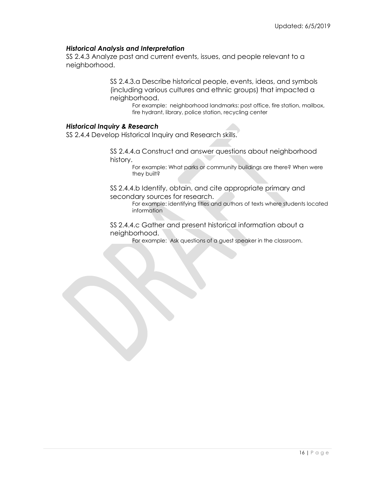# *Historical Analysis and Interpretation*

SS 2.4.3 Analyze past and current events, issues, and people relevant to a neighborhood.

> SS 2.4.3.a Describe historical people, events, ideas, and symbols (including various cultures and ethnic groups) that impacted a neighborhood.

For example: neighborhood landmarks: post office, fire station, mailbox, fire hydrant, library, police station, recycling center

### *Historical Inquiry & Research*

SS 2.4.4 Develop Historical Inquiry and Research skills.

SS 2.4.4.a Construct and answer questions about neighborhood history.

For example: What parks or community buildings are there? When were they built?

SS 2.4.4.b Identify, obtain, and cite appropriate primary and secondary sources for research.

For example: identifying titles and authors of texts where students located information

SS 2.4.4.c Gather and present historical information about a neighborhood.

For example: Ask questions of a guest speaker in the classroom.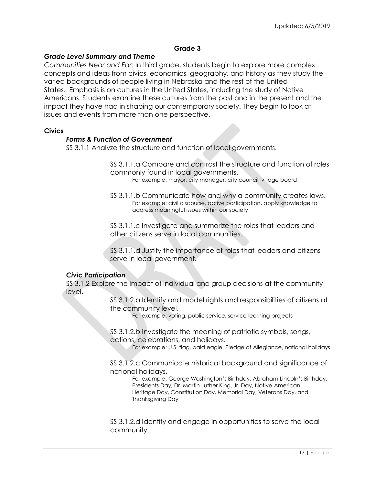# **Grade 3**

### *Grade Level Summary and Theme*

*Communities Near and Far*: In third grade, students begin to explore more complex concepts and ideas from civics, economics, geography, and history as they study the varied backgrounds of people living in Nebraska and the rest of the United States. Emphasis is on cultures in the United States, including the study of Native Americans. Students examine these cultures from the past and in the present and the impact they have had in shaping our contemporary society. They begin to look at issues and events from more than one perspective.

#### **Civics**

### *Forms & Function of Government*

SS 3.1.1 Analyze the structure and function of local governments.

SS 3.1.1.a Compare and contrast the structure and function of roles commonly found in local governments.

For example: mayor, city manager, city council, village board

SS 3.1.1.b Communicate how and why a community creates laws. For example: civil discourse, active participation, apply knowledge to address meaningful issues within our society

SS 3.1.1.c Investigate and summarize the roles that leaders and other citizens serve in local communities.

SS 3.1.1.d Justify the importance of roles that leaders and citizens serve in local government.

#### *Civic Participation*

SS 3.1.2 Explore the impact of individual and group decisions at the community level.

> SS 3.1.2.a Identify and model rights and responsibilities of citizens at the community level.

> > For example: voting, public service, service learning projects

SS 3.1.2.b Investigate the meaning of patriotic symbols, songs, actions, celebrations, and holidays.

For example: U.S. flag, bald eagle, Pledge of Allegiance, national holidays

SS 3.1.2.c Communicate historical background and significance of national holidays.

For example: George Washington's Birthday, Abraham Lincoln's Birthday, Presidents Day, Dr. Martin Luther King, Jr. Day, Native American Heritage Day, Constitution Day, Memorial Day, Veterans Day, and Thanksgiving Day

SS 3.1.2.d Identify and engage in opportunities to serve the local community.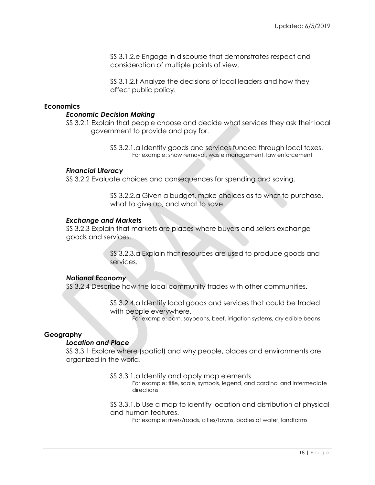SS 3.1.2.e Engage in discourse that demonstrates respect and consideration of multiple points of view.

SS 3.1.2.f Analyze the decisions of local leaders and how they affect public policy.

### **Economics**

### *Economic Decision Making*

SS 3.2.1 Explain that people choose and decide what services they ask their local government to provide and pay for.

> SS 3.2.1.a Identify goods and services funded through local taxes. For example: snow removal, waste management, law enforcement

#### *Financial Literacy*

SS 3.2.2 Evaluate choices and consequences for spending and saving.

SS 3.2.2.a Given a budget, make choices as to what to purchase, what to give up, and what to save.

#### *Exchange and Markets*

SS 3.2.3 Explain that markets are places where buyers and sellers exchange goods and services.

> SS 3.2.3.a Explain that resources are used to produce goods and services.

#### *National Economy*

SS 3.2.4 Describe how the local community trades with other communities.

SS 3.2.4.a Identify local goods and services that could be traded with people everywhere.

For example: corn, soybeans, beef, irrigation systems, dry edible beans

#### **Geography**

### *Location and Place*

SS 3.3.1 Explore where (spatial) and why people, places and environments are organized in the world.

SS 3.3.1.a Identify and apply map elements.

For example: title, scale, symbols, legend, and cardinal and intermediate directions

SS 3.3.1.b Use a map to identify location and distribution of physical and human features.

For example: rivers/roads, cities/towns, bodies of water, landforms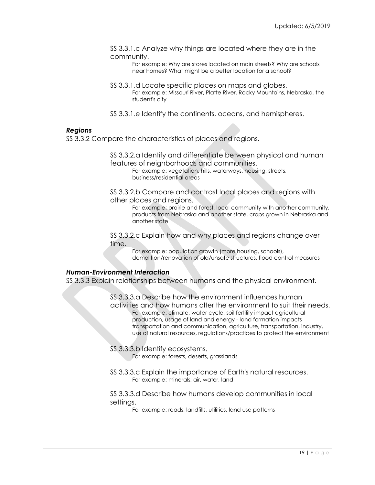SS 3.3.1.c Analyze why things are located where they are in the community.

> For example: Why are stores located on main streets? Why are schools near homes? What might be a better location for a school?

- SS 3.3.1.d Locate specific places on maps and globes. For example: Missouri River, Platte River, Rocky Mountains, Nebraska, the student's city
- SS 3.3.1.e Identify the continents, oceans, and hemispheres.

#### *Regions*

SS 3.3.2 Compare the characteristics of places and regions.

SS 3.3.2.a Identify and differentiate between physical and human features of neighborhoods and communities.

For example: vegetation, hills, waterways, housing, streets, business/residential areas

SS 3.3.2.b Compare and contrast local places and regions with other places and regions.

For example: prairie and forest, local community with another community, products from Nebraska and another state, crops grown in Nebraska and another state

SS 3.3.2.c Explain how and why places and regions change over time.

> For example: population growth (more housing, schools), demolition/renovation of old/unsafe structures, flood control measures

### *Human-Environment Interaction*

SS 3.3.3 Explain relationships between humans and the physical environment.

SS 3.3.3.a Describe how the environment influences human activities and how humans alter the environment to suit their needs. For example: climate, water cycle, soil fertility impact agricultural production, usage of land and energy - land formation impacts transportation and communication, agriculture, transportation, industry, use of natural resources, regulations/practices to protect the environment

SS 3.3.3.b Identify ecosystems.

For example: forests, deserts, grasslands

SS 3.3.3.c Explain the importance of Earth's natural resources. For example: minerals, air, water, land

SS 3.3.3.d Describe how humans develop communities in local settings.

For example: roads, landfills, utilities, land use patterns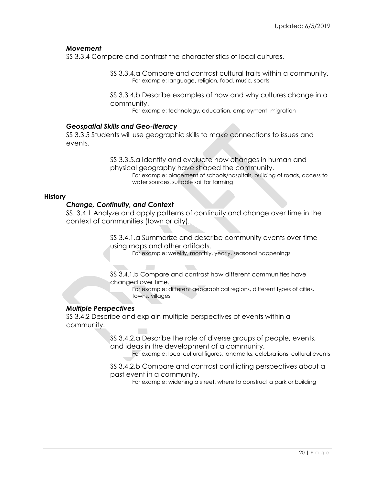### *Movement*

SS 3.3.4 Compare and contrast the characteristics of local cultures.

SS 3.3.4.a Compare and contrast cultural traits within a community. For example: language, religion, food, music, sports

SS 3.3.4.b Describe examples of how and why cultures change in a community.

For example: technology, education, employment, migration

#### *Geospatial Skills and Geo-literacy*

SS 3.3.5 Students will use geographic skills to make connections to issues and events.

> SS 3.3.5.a Identify and evaluate how changes in human and physical geography have shaped the community. For example: placement of schools/hospitals, building of roads, access to water sources, suitable soil for farming

#### **History**

#### *Change, Continuity, and Context*

SS. 3.4.1 Analyze and apply patterns of continuity and change over time in the context of communities (town or city).

> SS 3.4.1.a Summarize and describe community events over time using maps and other artifacts.

For example: weekly, monthly, yearly, seasonal happenings

SS 3.4.1.b Compare and contrast how different communities have changed over time.

For example: different geographical regions, different types of cities, towns, villages

#### *Multiple Perspectives*

SS 3.4.2 Describe and explain multiple perspectives of events within a community.

> SS 3.4.2.a Describe the role of diverse groups of people, events, and ideas in the development of a community.

For example: local cultural figures, landmarks, celebrations, cultural events

SS 3.4.2.b Compare and contrast conflicting perspectives about a past event in a community.

For example: widening a street, where to construct a park or building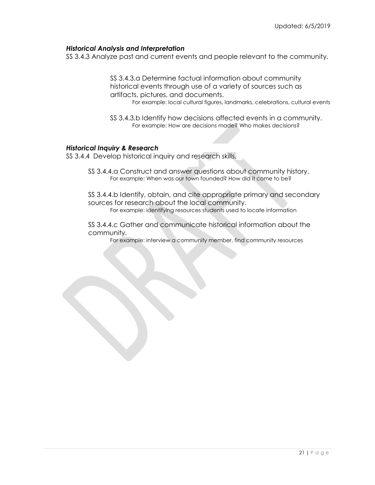### *Historical Analysis and Interpretation*

SS 3.4.3 Analyze past and current events and people relevant to the community.

SS 3.4.3.a Determine factual information about community historical events through use of a variety of sources such as artifacts, pictures, and documents.

For example: local cultural figures, landmarks, celebrations, cultural events

SS 3.4.3.b Identify how decisions affected events in a community. For example: How are decisions made? Who makes decisions?

### *Historical Inquiry & Research*

SS 3.4.4 Develop historical inquiry and research skills.

SS 3.4.4.a Construct and answer questions about community history. For example: When was our town founded? How did it come to be?

SS 3.4.4.b Identify, obtain, and cite appropriate primary and secondary sources for research about the local community. For example: identifying resources students used to locate information

SS 3.4.4.c Gather and communicate historical information about the community.

For example: interview a community member, find community resources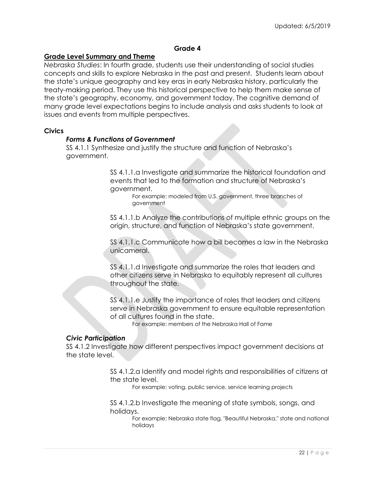### **Grade 4**

### **Grade Level Summary and Theme**

*Nebraska Studies*: In fourth grade, students use their understanding of social studies concepts and skills to explore Nebraska in the past and present. Students learn about the state's unique geography and key eras in early Nebraska history, particularly the treaty-making period. They use this historical perspective to help them make sense of the state's geography, economy, and government today. The cognitive demand of many grade level expectations begins to include analysis and asks students to look at issues and events from multiple perspectives.

#### **Civics**

### *Forms & Functions of Government*

SS 4.1.1 Synthesize and justify the structure and function of Nebraska's government.

> SS 4.1.1.a Investigate and summarize the historical foundation and events that led to the formation and structure of Nebraska's government.

For example: modeled from U.S. government, three branches of government

SS 4.1.1.b Analyze the contributions of multiple ethnic groups on the origin, structure, and function of Nebraska's state government.

SS 4.1.1.c Communicate how a bill becomes a law in the Nebraska unicameral.

SS 4.1.1.d Investigate and summarize the roles that leaders and other citizens serve in Nebraska to equitably represent all cultures throughout the state.

SS 4.1.1.e Justify the importance of roles that leaders and citizens serve in Nebraska government to ensure equitable representation of all cultures found in the state.

For example: members of the Nebraska Hall of Fame

### *Civic Participation*

SS 4.1.2 Investigate how different perspectives impact government decisions at the state level.

> SS 4.1.2.a Identify and model rights and responsibilities of citizens at the state level.

> > For example: voting, public service, service learning projects

SS 4.1.2.b Investigate the meaning of state symbols, songs, and holidays.

For example: Nebraska state flag, "Beautiful Nebraska," state and national holidays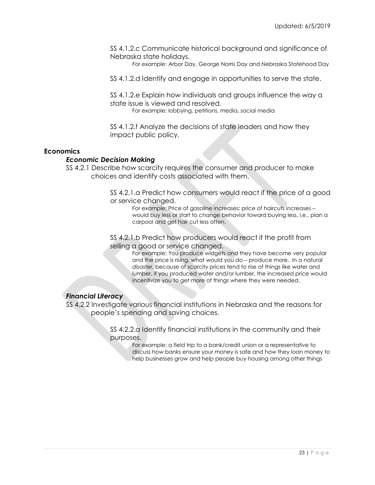SS 4.1.2.c Communicate historical background and significance of Nebraska state holidays.

For example: Arbor Day, George Norris Day and Nebraska Statehood Day

SS 4.1.2.d Identify and engage in opportunities to serve the state.

SS 4.1.2.e Explain how individuals and groups influence the way a state issue is viewed and resolved.

For example: lobbying, petitions, media, social media

SS 4.1.2.f Analyze the decisions of state leaders and how they impact public policy.

### **Economics**

#### *Economic Decision Making*

SS 4.2.1 Describe how scarcity requires the consumer and producer to make choices and identify costs associated with them.

> SS 4.2.1.a Predict how consumers would react if the price of a good or service changed.

For example: Price of gasoline increases; price of haircuts increases – would buy less or start to change behavior toward buying less, i.e., plan a carpool and get hair cut less often.

SS 4.2.1.b Predict how producers would react if the profit from selling a good or service changed.

> For example: You produce widgets and they have become very popular and the price is rising, what would you do – produce more. In a natural disaster, because of scarcity prices tend to rise of things like water and lumber, if you produced water and/or lumber, the increased price would incentivize you to get more of things where they were needed.

### *Financial Literacy*

SS 4.2.2 Investigate various financial institutions in Nebraska and the reasons for people's spending and saving choices.

> SS 4.2.2.a Identify financial institutions in the community and their purposes.

> > For example: a field trip to a bank/credit union or a representative to discuss how banks ensure your money is safe and how they loan money to help businesses grow and help people buy housing among other things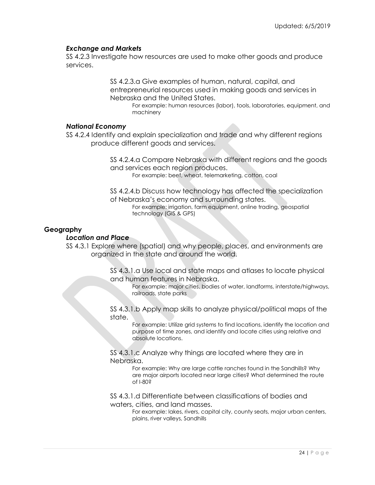# *Exchange and Markets*

SS 4.2.3 Investigate how resources are used to make other goods and produce services.

> SS 4.2.3.a Give examples of human, natural, capital, and entrepreneurial resources used in making goods and services in Nebraska and the United States.

For example: human resources (labor), tools, laboratories, equipment, and machinery

### *National Economy*

SS 4.2.4 Identify and explain specialization and trade and why different regions produce different goods and services.

> SS 4.2.4.a Compare Nebraska with different regions and the goods and services each region produces. For example: beef, wheat, telemarketing, cotton, coal

SS 4.2.4.b Discuss how technology has affected the specialization of Nebraska's economy and surrounding states. For example: irrigation, farm equipment, online trading, geospatial technology (GIS & GPS)

# **Geography**

### *Location and Place*

SS 4.3.1 Explore where (spatial) and why people, places, and environments are organized in the state and around the world.

> SS 4.3.1.a Use local and state maps and atlases to locate physical and human features in Nebraska.

For example: major cities, bodies of water, landforms, interstate/highways, railroads, state parks

SS 4.3.1.b Apply map skills to analyze physical/political maps of the state.

For example: Utilize grid systems to find locations, identify the location and purpose of time zones, and identify and locate cities using relative and absolute locations.

SS 4.3.1.c Analyze why things are located where they are in Nebraska.

> For example: Why are large cattle ranches found in the Sandhills? Why are major airports located near large cities? What determined the route of I-80?

SS 4.3.1.d Differentiate between classifications of bodies and waters, cities, and land masses.

> For example: lakes, rivers, capital city, county seats, major urban centers, plains, river valleys, Sandhills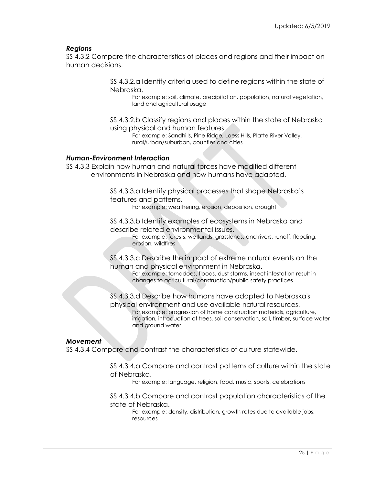### *Regions*

SS 4.3.2 Compare the characteristics of places and regions and their impact on human decisions.

> SS 4.3.2.a Identify criteria used to define regions within the state of Nebraska.

For example: soil, climate, precipitation, population, natural vegetation, land and agricultural usage

SS 4.3.2.b Classify regions and places within the state of Nebraska using physical and human features.

For example: Sandhills, Pine Ridge, Loess Hills, Platte River Valley, rural/urban/suburban, counties and cities

### *Human-Environment Interaction*

SS 4.3.3 Explain how human and natural forces have modified different environments in Nebraska and how humans have adapted.

> SS 4.3.3.a Identify physical processes that shape Nebraska's features and patterns.

For example: weathering, erosion, deposition, drought

SS 4.3.3.b Identify examples of ecosystems in Nebraska and describe related environmental issues.

For example: forests, wetlands, grasslands, and rivers, runoff, flooding, erosion, wildfires

SS 4.3.3.c Describe the impact of extreme natural events on the human and physical environment in Nebraska.

For example: tornadoes, floods, dust storms, insect infestation result in changes to agricultural/construction/public safety practices

SS 4.3.3.d Describe how humans have adapted to Nebraska's physical environment and use available natural resources.

For example: progression of home construction materials, agriculture, irrigation, introduction of trees, soil conservation, soil, timber, surface water and ground water

### *Movement*

SS 4.3.4 Compare and contrast the characteristics of culture statewide.

SS 4.3.4.a Compare and contrast patterns of culture within the state of Nebraska.

For example: language, religion, food, music, sports, celebrations

SS 4.3.4.b Compare and contrast population characteristics of the state of Nebraska.

For example: density, distribution, growth rates due to available jobs, resources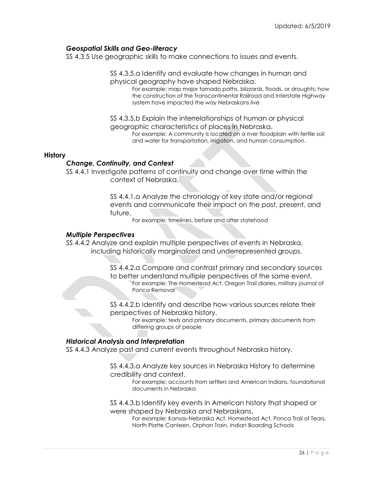# *Geospatial Skills and Geo-literacy*

SS 4.3.5 Use geographic skills to make connections to issues and events.

SS 4.3.5.a Identify and evaluate how changes in human and physical geography have shaped Nebraska.

For example: map major tornado paths, blizzards, floods, or droughts; how the construction of the Transcontinental Railroad and Interstate Highway system have impacted the way Nebraskans live

SS 4.3.5.b Explain the interrelationships of human or physical geographic characteristics of places in Nebraska.

For example: A community is located on a river floodplain with fertile soil and water for transportation, irrigation, and human consumption.

#### **History**

### *Change, Continuity, and Context*

SS 4.4.1 Investigate patterns of continuity and change over time within the context of Nebraska.

> SS 4.4.1.a Analyze the chronology of key state and/or regional events and communicate their impact on the past, present, and future.

For example: timelines, before and after statehood

#### *Multiple Perspectives*

SS 4.4.2 Analyze and explain multiple perspectives of events in Nebraska, including historically marginalized and underrepresented groups.

> SS 4.4.2.a Compare and contrast primary and secondary sources to better understand multiple perspectives of the same event. For example: The Homestead Act, Oregon Trail diaries, military journal of Ponca Removal

SS 4.4.2.b Identify and describe how various sources relate their perspectives of Nebraska history.

> For example: texts and primary documents, primary documents from differing groups of people

#### *Historical Analysis and Interpretation*

SS 4.4.3 Analyze past and current events throughout Nebraska history.

SS 4.4.3.a Analyze key sources in Nebraska History to determine credibility and context.

> For example: accounts from settlers and American Indians, foundational documents in Nebraska

SS 4.4.3.b Identify key events in American history that shaped or were shaped by Nebraska and Nebraskans.

For example: Kansas-Nebraska Act, Homestead Act, Ponca Trail of Tears, North Platte Canteen, Orphan Train, Indian Boarding Schools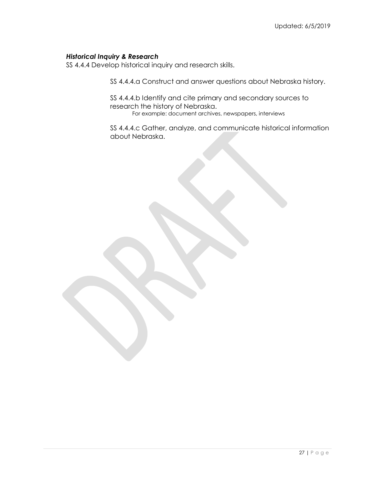### *Historical Inquiry & Research*

SS 4.4.4 Develop historical inquiry and research skills.

SS 4.4.4.a Construct and answer questions about Nebraska history.

SS 4.4.4.b Identify and cite primary and secondary sources to research the history of Nebraska. For example: document archives, newspapers, interviews

SS 4.4.4.c Gather, analyze, and communicate historical information about Nebraska.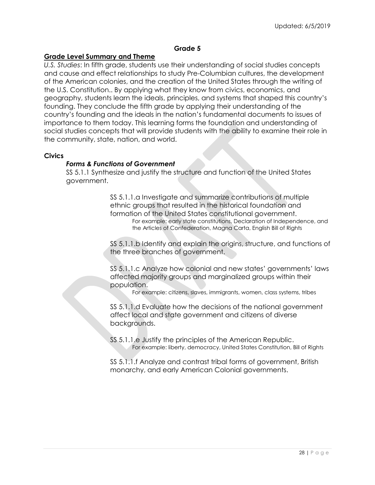### **Grade 5**

### **Grade Level Summary and Theme**

*U.S. Studies*: In fifth grade, students use their understanding of social studies concepts and cause and effect relationships to study Pre-Columbian cultures, the development of the American colonies, and the creation of the United States through the writing of the U.S. Constitution.. By applying what they know from civics, economics, and geography, students learn the ideals, principles, and systems that shaped this country's founding. They conclude the fifth grade by applying their understanding of the country's founding and the ideals in the nation's fundamental documents to issues of importance to them today. This learning forms the foundation and understanding of social studies concepts that will provide students with the ability to examine their role in the community, state, nation, and world.

### **Civics**

### *Forms & Functions of Government*

SS 5.1.1 Synthesize and justify the structure and function of the United States government.

> SS 5.1.1.a Investigate and summarize contributions of multiple ethnic groups that resulted in the historical foundation and formation of the United States constitutional government. For example: early state constitutions, Declaration of Independence, and the Articles of Confederation, Magna Carta, English Bill of Rights

SS 5.1.1.b Identify and explain the origins, structure, and functions of the three branches of government.

SS 5.1.1.c Analyze how colonial and new states' governments' laws affected majority groups and marginalized groups within their population.

For example: citizens, slaves, immigrants, women, class systems, tribes

SS 5.1.1.d Evaluate how the decisions of the national government affect local and state government and citizens of diverse backgrounds.

SS 5.1.1.e Justify the principles of the American Republic. For example: liberty, democracy, United States Constitution, Bill of Rights

SS 5.1.1.f Analyze and contrast tribal forms of government, British monarchy, and early American Colonial governments.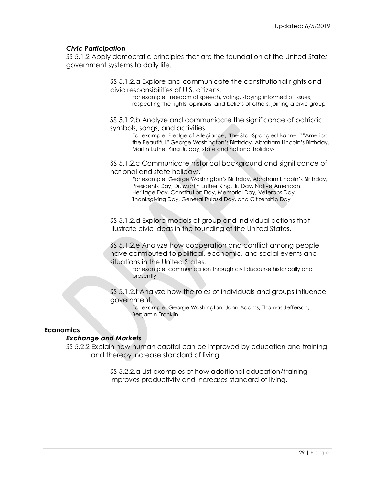### *Civic Participation*

SS 5.1.2 Apply democratic principles that are the foundation of the United States government systems to daily life.

> SS 5.1.2.a Explore and communicate the constitutional rights and civic responsibilities of U.S. citizens.

For example: freedom of speech, voting, staying informed of issues, respecting the rights, opinions, and beliefs of others, joining a civic group

SS 5.1.2.b Analyze and communicate the significance of patriotic symbols, songs, and activities.

For example: Pledge of Allegiance, "The Star-Spangled Banner," "America the Beautiful," George Washington's Birthday, Abraham Lincoln's Birthday, Martin Luther King Jr. day, state and national holidays

SS 5.1.2.c Communicate historical background and significance of national and state holidays.

> For example: George Washington's Birthday, Abraham Lincoln's Birthday, Presidents Day, Dr. Martin Luther King, Jr. Day, Native American Heritage Day, Constitution Day, Memorial Day, Veterans Day, Thanksgiving Day, General Pulaski Day, and Citizenship Day

SS 5.1.2.d Explore models of group and individual actions that illustrate civic ideas in the founding of the United States.

SS 5.1.2.e Analyze how cooperation and conflict among people have contributed to political, economic, and social events and situations in the United States.

For example: communication through civil discourse historically and presently

SS 5.1.2.f Analyze how the roles of individuals and groups influence government.

For example: George Washington, John Adams, Thomas Jefferson, Benjamin Franklin

### **Economics**

#### *Exchange and Markets*

SS 5.2.2 Explain how human capital can be improved by education and training and thereby increase standard of living

> SS 5.2.2.a List examples of how additional education/training improves productivity and increases standard of living.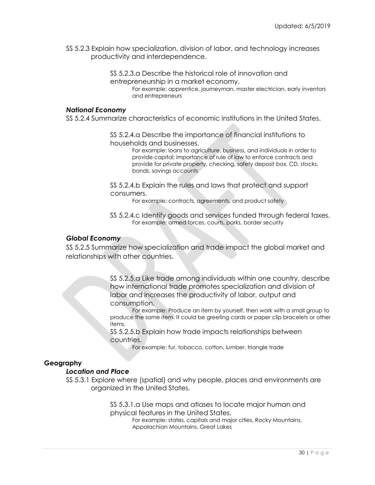SS 5.2.3 Explain how specialization, division of labor, and technology increases productivity and interdependence.

> SS 5.2.3.a Describe the historical role of innovation and entrepreneurship in a market economy.

> > For example: apprentice, journeyman, master electrician, early inventors and entrepreneurs

#### *National Economy*

SS 5.2.4 Summarize characteristics of economic institutions in the United States.

SS 5.2.4.a Describe the importance of financial institutions to households and businesses.

> For example: loans to agriculture, business, and individuals in order to provide capital; importance of rule of law to enforce contracts and provide for private property, checking, safety deposit box, CD, stocks, bonds, savings accounts

SS 5.2.4.b Explain the rules and laws that protect and support consumers.

For example: contracts, agreements, and product safety

SS 5.2.4.c Identify goods and services funded through federal taxes. For example: armed forces, courts, parks, border security

#### *Global Economy*

SS 5.2.5 Summarize how specialization and trade impact the global market and relationships with other countries.

> SS 5.2.5.a Like trade among individuals within one country, describe how international trade promotes specialization and division of labor and increases the productivity of labor, output and consumption.

> For example: Produce an item by yourself, then work with a small group to produce the same item. It could be greeting cards or paper clip bracelets or other items.

SS 5.2.5.b Explain how trade impacts relationships between countries.

For example: fur, tobacco, cotton, lumber, triangle trade

# **Geography**

#### *Location and Place*

SS 5.3.1 Explore where (spatial) and why people, places and environments are organized in the United States.

> SS 5.3.1.a Use maps and atlases to locate major human and physical features in the United States.

For example: states, capitals and major cities, Rocky Mountains, Appalachian Mountains, Great Lakes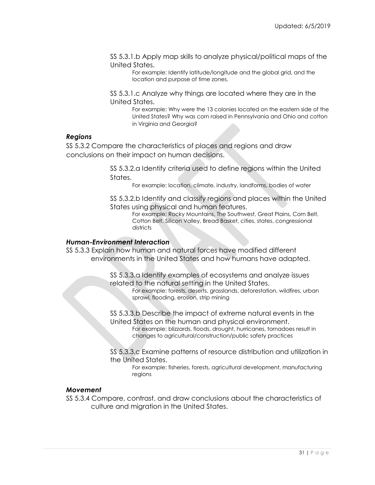SS 5.3.1.b Apply map skills to analyze physical/political maps of the United States.

For example: Identify latitude/longitude and the global grid, and the location and purpose of time zones.

SS 5.3.1.c Analyze why things are located where they are in the United States.

> For example: Why were the 13 colonies located on the eastern side of the United States? Why was corn raised in Pennsylvania and Ohio and cotton in Virginia and Georgia?

### *Regions*

SS 5.3.2 Compare the characteristics of places and regions and draw conclusions on their impact on human decisions.

> SS 5.3.2.a Identify criteria used to define regions within the United States.

For example: location, climate, industry, landforms, bodies of water

SS 5.3.2.b Identify and classify regions and places within the United States using physical and human features.

For example: Rocky Mountains, The Southwest, Great Plains, Corn Belt, Cotton Belt, Silicon Valley, Bread Basket, cities, states, congressional districts

### *Human-Environment Interaction*

SS 5.3.3 Explain how human and natural forces have modified different environments in the United States and how humans have adapted.

> SS 5.3.3.a Identify examples of ecosystems and analyze issues related to the natural setting in the United States.

For example: forests, deserts, grasslands, deforestation, wildfires, urban sprawl, flooding, erosion, strip mining

SS 5.3.3.b Describe the impact of extreme natural events in the United States on the human and physical environment. For example: blizzards, floods, drought, hurricanes, tornadoes result in changes to agricultural/construction/public safety practices

SS 5.3.3.c Examine patterns of resource distribution and utilization in the United States.

For example: fisheries, forests, agricultural development, manufacturing regions

#### *Movement*

SS 5.3.4 Compare, contrast, and draw conclusions about the characteristics of culture and migration in the United States.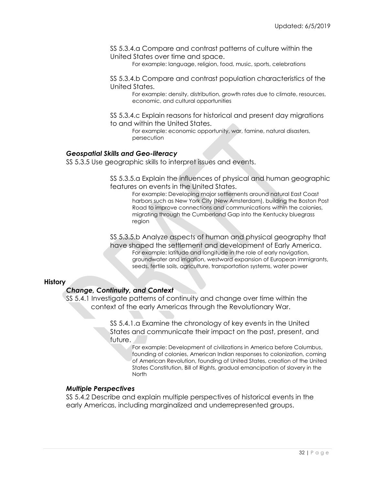SS 5.3.4.a Compare and contrast patterns of culture within the United States over time and space.

For example: language, religion, food, music, sports, celebrations

SS 5.3.4.b Compare and contrast population characteristics of the United States.

For example: density, distribution, growth rates due to climate, resources, economic, and cultural opportunities

SS 5.3.4.c Explain reasons for historical and present day migrations to and within the United States.

For example: economic opportunity, war, famine, natural disasters, persecution

#### *Geospatial Skills and Geo-literacy*

SS 5.3.5 Use geographic skills to interpret issues and events.

SS 5.3.5.a Explain the influences of physical and human geographic features on events in the United States.

> For example: Developing major settlements around natural East Coast harbors such as New York City (New Amsterdam), building the Boston Post Road to improve connections and communications within the colonies, migrating through the Cumberland Gap into the Kentucky bluegrass region

SS 5.3.5.b Analyze aspects of human and physical geography that have shaped the settlement and development of Early America. For example: latitude and longitude in the role of early navigation, groundwater and irrigation, westward expansion of European immigrants, seeds, fertile soils, agriculture, transportation systems, water power

#### **History**

### *Change, Continuity, and Context*

SS 5.4.1 Investigate patterns of continuity and change over time within the context of the early Americas through the Revolutionary War.

> SS 5.4.1.a Examine the chronology of key events in the United States and communicate their impact on the past, present, and future.

For example: Development of civilizations in America before Columbus, founding of colonies, American Indian responses to colonization, coming of American Revolution, founding of United States, creation of the United States Constitution, Bill of Rights, gradual emancipation of slavery in the North

### *Multiple Perspectives*

SS 5.4.2 Describe and explain multiple perspectives of historical events in the early Americas, including marginalized and underrepresented groups.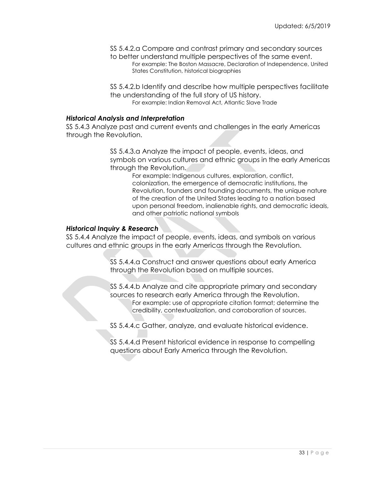SS 5.4.2.a Compare and contrast primary and secondary sources to better understand multiple perspectives of the same event. For example: The Boston Massacre, Declaration of Independence, United States Constitution, historical biographies

SS 5.4.2.b Identify and describe how multiple perspectives facilitate the understanding of the full story of US history. For example: Indian Removal Act, Atlantic Slave Trade

### *Historical Analysis and Interpretation*

SS 5.4.3 Analyze past and current events and challenges in the early Americas through the Revolution.

> SS 5.4.3.a Analyze the impact of people, events, ideas, and symbols on various cultures and ethnic groups in the early Americas through the Revolution.

> > For example: Indigenous cultures, exploration, conflict, colonization, the emergence of democratic institutions, the Revolution, founders and founding documents, the unique nature of the creation of the United States leading to a nation based upon personal freedom, inalienable rights, and democratic ideals, and other patriotic national symbols

### *Historical Inquiry & Research*

SS 5.4.4 Analyze the impact of people, events, ideas, and symbols on various cultures and ethnic groups in the early Americas through the Revolution.

> SS 5.4.4.a Construct and answer questions about early America through the Revolution based on multiple sources.

SS 5.4.4.b Analyze and cite appropriate primary and secondary sources to research early America through the Revolution. For example: use of appropriate citation format; determine the credibility, contextualization, and corroboration of sources.

SS 5.4.4.c Gather, analyze, and evaluate historical evidence.

SS 5.4.4.d Present historical evidence in response to compelling questions about Early America through the Revolution.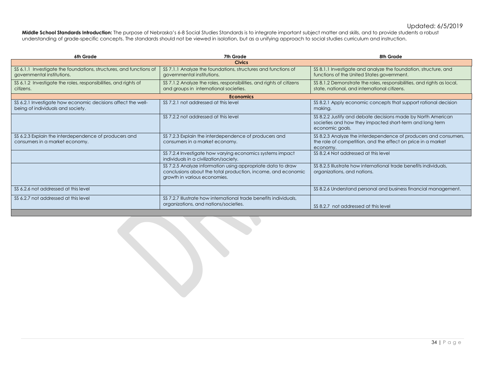#### Updated: 6/5/2019

**Middle School Standards Introduction:** The purpose of Nebraska's 6-8 Social Studies Standards is to integrate important subject matter and skills, and to provide students a robust understanding of grade-specific concepts. The standards should not be viewed in isolation, but as a unifying approach to social studies curriculum and instruction.

| 6th Grade                                                                                         | 7th Grade                                                                                                                                                   | 8th Grade                                                                                                                                    |  |
|---------------------------------------------------------------------------------------------------|-------------------------------------------------------------------------------------------------------------------------------------------------------------|----------------------------------------------------------------------------------------------------------------------------------------------|--|
| <b>Civics</b>                                                                                     |                                                                                                                                                             |                                                                                                                                              |  |
| SS 6.1.1 Investigate the foundations, structures, and functions of<br>governmental institutions.  | SS 7.1.1 Analyze the foundations, structures and functions of<br>governmental institutions.                                                                 | SS 8.1.1 Investigate and analyze the foundation, structure, and<br>functions of the United States government.                                |  |
| SS 6.1.2 Investigate the roles, responsibilities, and rights of<br>citizens.                      | SS 7.1.2 Analyze the roles, responsibilities, and rights of citizens<br>and groups in international societies.                                              | SS 8.1.2 Demonstrate the roles, responsibilities, and rights as local,<br>state, national, and international citizens.                       |  |
| <b>Economics</b>                                                                                  |                                                                                                                                                             |                                                                                                                                              |  |
| SS 6.2.1 Investigate how economic decisions affect the well-<br>being of individuals and society. | SS 7.2.1 not addressed at this level                                                                                                                        | SS 8.2.1 Apply economic concepts that support rational decision<br>making.                                                                   |  |
|                                                                                                   | SS 7.2.2 not addressed at this level                                                                                                                        | SS 8.2.2 Justify and debate decisions made by North American<br>societies and how they impacted short-term and long term<br>economic goals.  |  |
| SS 6.2.3 Explain the interdependence of producers and<br>consumers in a market economy.           | SS 7.2.3 Explain the interdependence of producers and<br>consumers in a market economy.                                                                     | SS 8.2.3 Analyze the interdependence of producers and consumers,<br>the role of competition, and the effect on price in a market<br>economy. |  |
|                                                                                                   | SS 7.2.4 Investigate how varying economics systems impact<br>individuals in a civilization/society.                                                         | SS 8.2.4 Not addressed at this level                                                                                                         |  |
|                                                                                                   | SS 7.2.5 Analyze information using appropriate data to draw<br>conclusions about the total production, income, and economic<br>growth in various economies. | SS 8.2.5 Illustrate how international trade benefits individuals,<br>organizations, and nations.                                             |  |
| SS 6.2.6 not addressed at this level                                                              |                                                                                                                                                             | SS 8.2.6 Understand personal and business financial management.                                                                              |  |
| SS 6.2.7 not addressed at this level                                                              | SS 7.2.7 Illustrate how international trade benefits individuals,<br>organizations, and nations/societies.                                                  | SS 8.2.7 not addressed at this level                                                                                                         |  |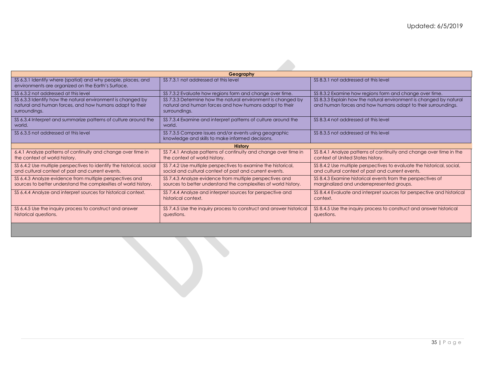| Geography                                                                                                                               |                                                                                                                                         |                                                                                                                                    |  |  |
|-----------------------------------------------------------------------------------------------------------------------------------------|-----------------------------------------------------------------------------------------------------------------------------------------|------------------------------------------------------------------------------------------------------------------------------------|--|--|
| SS 6.3.1 Identify where (spatial) and why people, places, and<br>environments are organized on the Earth's Surface.                     | SS 7.3.1 not addressed at this level                                                                                                    | SS 8.3.1 not addressed at this level                                                                                               |  |  |
| SS 6.3.2 not addressed at this level                                                                                                    | SS 7.3.2 Evaluate how regions form and change over time.                                                                                | SS 8.3.2 Examine how regions form and change over time.                                                                            |  |  |
| SS 6.3.3 Identify how the natural environment is changed by<br>natural and human forces, and how humans adapt to their<br>surroundings. | SS 7.3.3 Determine how the natural environment is changed by<br>natural and human forces and how humans adapt to their<br>surroundings. | SS 8.3.3 Explain how the natural environment is changed by natural<br>and human forces and how humans adapt to their surroundings. |  |  |
| SS 6.3.4 Interpret and summarize patterns of culture around the<br>world.                                                               | SS 7.3.4 Examine and interpret patterns of culture around the<br>world.                                                                 | SS 8.3.4 not addressed at this level                                                                                               |  |  |
| SS 6.3.5 not addressed at this level                                                                                                    | SS 7.3.5 Compare issues and/or events using geographic<br>knowledge and skills to make informed decisions.                              | SS 8.3.5 not addressed at this level                                                                                               |  |  |
| <b>History</b>                                                                                                                          |                                                                                                                                         |                                                                                                                                    |  |  |
| 6.4.1 Analyze patterns of continuity and change over time in<br>the context of world history.                                           | SS 7.4.1 Analyze patterns of continuity and change over time in<br>the context of world history.                                        | SS 8.4.1 Analyze patterns of continuity and change over time in the<br>context of United States history.                           |  |  |
| SS 6.4.2 Use multiple perspectives to identify the historical, social<br>and cultural context of past and current events.               | SS 7.4.2 Use multiple perspectives to examine the historical,<br>social and cultural context of past and current events.                | SS 8.4.2 Use multiple perspectives to evaluate the historical, social,<br>and cultural context of past and current events.         |  |  |
| SS 6.4.3 Analyze evidence from multiple perspectives and<br>sources to better understand the complexities of world history.             | SS 7.4.3 Analyze evidence from multiple perspectives and<br>sources to better understand the complexities of world history.             | SS 8.4.3 Examine historical events from the perspectives of<br>marginalized and underrepresented groups.                           |  |  |
| SS 6.4.4 Analyze and interpret sources for historical context.                                                                          | SS 7.4.4 Analyze and interpret sources for perspective and<br>historical context.                                                       | SS 8.4.4 Evaluate and interpret sources for perspective and historical<br>context.                                                 |  |  |
| SS 6.4.5 Use the inquiry process to construct and answer<br>historical questions.                                                       | SS 7.4.5 Use the inquiry process to construct and answer historical<br>questions.                                                       | SS 8.4.5 Use the inquiry process to construct and answer historical<br>questions.                                                  |  |  |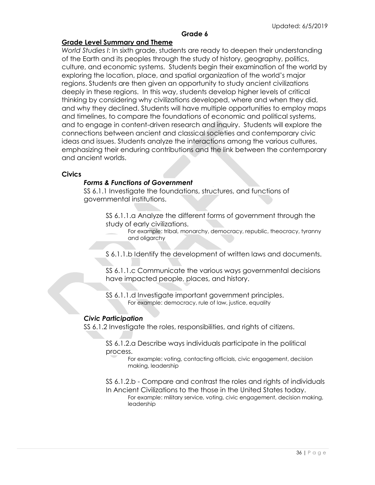### **Grade 6**

# **Grade Level Summary and Theme**

*World Studies I*: In sixth grade, students are ready to deepen their understanding of the Earth and its peoples through the study of history, geography, politics, culture, and economic systems. Students begin their examination of the world by exploring the location, place, and spatial organization of the world's major regions. Students are then given an opportunity to study ancient civilizations deeply in these regions. In this way, students develop higher levels of critical thinking by considering why civilizations developed, where and when they did, and why they declined. Students will have multiple opportunities to employ maps and timelines, to compare the foundations of economic and political systems, and to engage in content-driven research and inquiry. Students will explore the connections between ancient and classical societies and contemporary civic ideas and issues. Students analyze the interactions among the various cultures, emphasizing their enduring contributions and the link between the contemporary and ancient worlds.

#### **Civics**

### *Forms & Functions of Government*

SS 6.1.1 Investigate the foundations, structures, and functions of governmental institutions.

> SS 6.1.1.a Analyze the different forms of government through the study of early civilizations.

For example: tribal, monarchy, democracy, republic, theocracy, tyranny and oligarchy

S 6.1.1.b Identify the development of written laws and documents.

SS 6.1.1.c Communicate the various ways governmental decisions have impacted people, places, and history.

SS 6.1.1.d Investigate important government principles. For example: democracy, rule of law, justice, equality

### *Civic Participation*

SS 6.1.2 Investigate the roles, responsibilities, and rights of citizens.

SS 6.1.2.a Describe ways individuals participate in the political process.

For example: voting, contacting officials, civic engagement, decision making, leadership

SS 6.1.2.b - Compare and contrast the roles and rights of individuals In Ancient Civilizations to the those in the United States today.

For example: military service, voting, civic engagement, decision making, leadership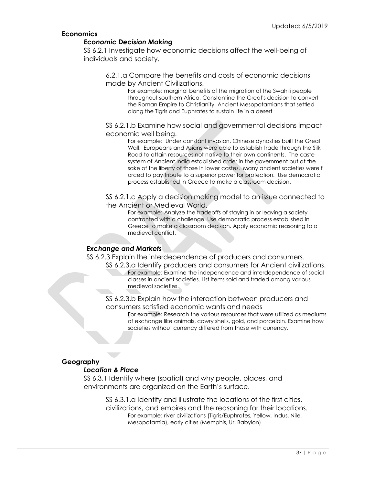# **Economics**

### *Economic Decision Making*

SS 6.2.1 Investigate how economic decisions affect the well-being of individuals and society.

6.2.1.a Compare the benefits and costs of economic decisions made by Ancient Civilizations.

> For example: marginal benefits of the migration of the Swahili people throughout southern Africa, Constantine the Great's decision to convert the Roman Empire to Christianity, Ancient Mesopotamians that settled along the Tigris and Euphrates to sustain life in a desert

SS 6.2.1.b Examine how social and governmental decisions impact economic well being.

> For example: Under constant invasion, Chinese dynasties built the Great Wall. Europeans and Asians were able to establish trade through the Silk Road to attain resources not native to their own continents. The caste system of Ancient India established order in the government but at the sake of the liberty of those in lower castes. Many ancient societies were f orced to pay tribute to a superior power for protection. Use democratic process established in Greece to make a classroom decision.

SS 6.2.1.c Apply a decision making model to an issue connected to the Ancient or Medieval World.

For example: Analyze the tradeoffs of staying in or leaving a society confronted with a challenge. Use democratic process established in Greece to make a classroom decision. Apply economic reasoning to a medieval conflict.

### *Exchange and Markets*

- SS 6.2.3 Explain the interdependence of producers and consumers.
	- SS 6.2.3.a Identify producers and consumers for Ancient civilizations. For example: Examine the independence and interdependence of social classes in ancient societies. List items sold and traded among various medieval societies.

SS 6.2.3.b Explain how the interaction between producers and consumers satisfied economic wants and needs

For example: Research the various resources that were utilized as mediums of exchange like animals, cowry shells, gold, and porcelain. Examine how societies without currency differed from those with currency.

### **Geography**

### *Location & Place*

SS 6.3.1 Identify where (spatial) and why people, places, and environments are organized on the Earth's surface.

> SS 6.3.1.a Identify and illustrate the locations of the first cities, civilizations, and empires and the reasoning for their locations. For example: river civilizations (Tigris/Euphrates, Yellow, Indus, Nile, Mesopotamia), early cities (Memphis, Ur, Babylon)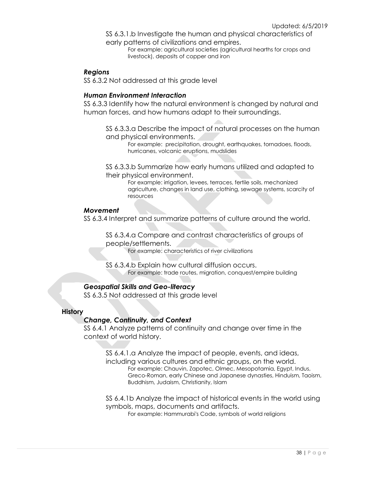SS 6.3.1.b Investigate the human and physical characteristics of early patterns of civilizations and empires.

For example: agricultural societies (agricultural hearths for crops and livestock), deposits of copper and iron

### *Regions*

SS 6.3.2 Not addressed at this grade level

### *Human Environment Interaction*

SS 6.3.3 Identify how the natural environment is changed by natural and human forces, and how humans adapt to their surroundings.

SS 6.3.3.a Describe the impact of natural processes on the human and physical environments.

For example: precipitation, drought, earthquakes, tornadoes, floods, hurricanes, volcanic eruptions, mudslides

SS 6.3.3.b Summarize how early humans utilized and adapted to their physical environment.

> For example: irrigation, levees, terraces, fertile soils, mechanized agriculture, changes in land use, clothing, sewage systems, scarcity of resources

#### *Movement*

SS 6.3.4 Interpret and summarize patterns of culture around the world.

SS 6.3.4.a Compare and contrast characteristics of groups of people/settlements.

For example: characteristics of river civilizations

SS 6.3.4.b Explain how cultural diffusion occurs. For example: trade routes, migration, conquest/empire building

### *Geospatial Skills and Geo-literacy*

SS 6.3.5 Not addressed at this grade level

### **History**

### *Change, Continuity, and Context*

SS 6.4.1 Analyze patterns of continuity and change over time in the context of world history.

SS 6.4.1.a Analyze the impact of people, events, and ideas, including various cultures and ethnic groups, on the world. For example: Chauvin, Zapotec, Olmec, Mesopotamia, Egypt, Indus, Greco-Roman, early Chinese and Japanese dynasties, Hinduism, Taoism, Buddhism, Judaism, Christianity, Islam

SS 6.4.1b Analyze the impact of historical events in the world using symbols, maps, documents and artifacts.

For example: Hammurabi's Code, symbols of world religions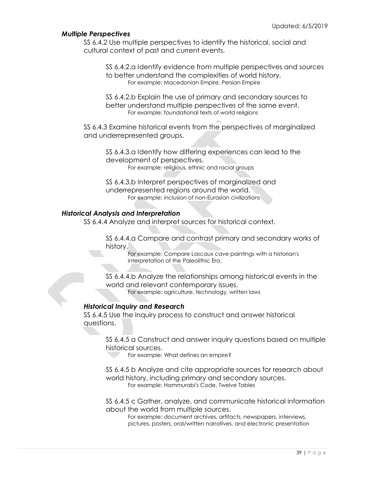### *Multiple Perspectives*

SS 6.4.2 Use multiple perspectives to identify the historical, social and cultural context of past and current events.

SS 6.4.2.a Identify evidence from multiple perspectives and sources to better understand the complexities of world history. For example: Macedonian Empire, Persian Empire

SS 6.4.2.b Explain the use of primary and secondary sources to better understand multiple perspectives of the same event. For example: foundational texts of world religions

SS 6.4.3 Examine historical events from the perspectives of marginalized and underrepresented groups.

SS 6.4.3.a Identify how differing experiences can lead to the development of perspectives. For example: religious, ethnic and racial groups

SS 6.4.3.b Interpret perspectives of marginalized and underrepresented regions around the world. For example: inclusion of non-Eurasian civilizations

# *Historical Analysis and Interpretation*

SS 6.4.4 Analyze and interpret sources for historical context.

SS 6.4.4.a Compare and contrast primary and secondary works of history.

> For example: Compare Lascaux cave paintings with a historian's interpretation of the Paleolithic Era.

SS 6.4.4.b Analyze the relationships among historical events in the world and relevant contemporary issues.

For example: agriculture, technology, written laws

### *Historical Inquiry and Research*

SS 6.4.5 Use the inquiry process to construct and answer historical questions.

> SS 6.4.5 a Construct and answer inquiry questions based on multiple historical sources.

For example: What defines an empire?

SS 6.4.5 b Analyze and cite appropriate sources for research about world history, including primary and secondary sources. For example: Hammurabi's Code, Twelve Tables

SS 6.4.5 c Gather, analyze, and communicate historical information about the world from multiple sources.

For example: document archives, artifacts, newspapers, interviews, pictures, posters, oral/written narratives, and electronic presentation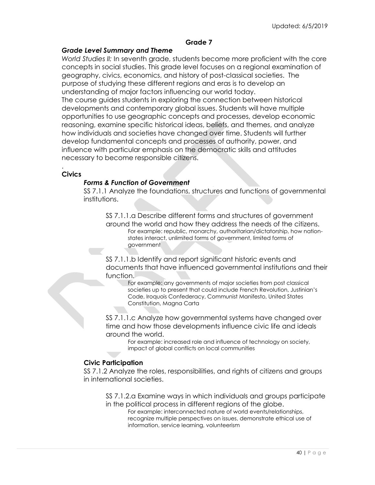### **Grade 7**

### *Grade Level Summary and Theme*

*World Studies II:* In seventh grade, students become more proficient with the core concepts in social studies. This grade level focuses on a regional examination of geography, civics, economics, and history of post-classical societies. The purpose of studying these different regions and eras is to develop an understanding of major factors influencing our world today.

The course guides students in exploring the connection between historical developments and contemporary global issues. Students will have multiple opportunities to use geographic concepts and processes, develop economic reasoning, examine specific historical ideas, beliefs, and themes, and analyze how individuals and societies have changed over time. Students will further develop fundamental concepts and processes of authority, power, and influence with particular emphasis on the democratic skills and attitudes necessary to become responsible citizens.

### **Civics**

.

### *Forms & Function of Government*

SS 7.1.1 Analyze the foundations, structures and functions of governmental institutions.

SS 7.1.1.a Describe different forms and structures of government around the world and how they address the needs of the citizens. For example: republic, monarchy, authoritarian/dictatorship, how nationstates interact, unlimited forms of government, limited forms of government

SS 7.1.1.b Identify and report significant historic events and documents that have influenced governmental institutions and their function.

For example: any governments of major societies from post classical societies up to present that could include French Revolution, Justinian's Code, Iroquois Confederacy, Communist Manifesto, United States Constitution, Magna Carta

SS 7.1.1.c Analyze how governmental systems have changed over time and how those developments influence civic life and ideals around the world.

For example: increased role and influence of technology on society, impact of global conflicts on local communities

#### **Civic Participation**

SS 7.1.2 Analyze the roles, responsibilities, and rights of citizens and groups in international societies.

SS 7.1.2.a Examine ways in which individuals and groups participate in the political process in different regions of the globe.

For example: interconnected nature of world events/relationships, recognize multiple perspectives on issues, demonstrate ethical use of information, service learning, volunteerism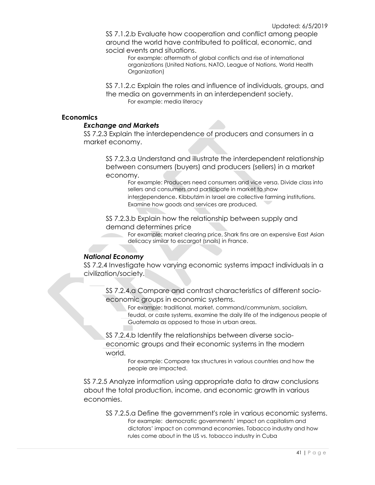SS 7.1.2.b Evaluate how cooperation and conflict among people around the world have contributed to political, economic, and social events and situations.

For example: aftermath of global conflicts and rise of international organizations (United Nations, NATO, League of Nations, World Health Organization)

SS 7.1.2.c Explain the roles and influence of individuals, groups, and the media on governments in an interdependent society. For example: media literacy

### **Economics**

### *Exchange and Markets*

SS 7.2.3 Explain the interdependence of producers and consumers in a market economy.

SS 7.2.3.a Understand and illustrate the interdependent relationship between consumers (buyers) and producers (sellers) in a market economy.

For example: Producers need consumers and vice versa. Divide class into sellers and consumers and participate in market to show interdependence. Kibbutzim in Israel are collective farming institutions. Examine how goods and services are produced.

### SS 7.2.3.b Explain how the relationship between supply and demand determines price

For example: market clearing price, Shark fins are an expensive East Asian delicacy similar to escargot (snails) in France.

# *National Economy*

SS 7.2.4 Investigate how varying economic systems impact individuals in a civilization/society.

SS 7.2.4.a Compare and contrast characteristics of different socioeconomic groups in economic systems.

For example: traditional, market, command/communism, socialism, feudal, or caste systems, examine the daily life of the indigenous people of Guatemala as opposed to those in urban areas.

SS 7.2.4.b Identify the relationships between diverse socioeconomic groups and their economic systems in the modern world.

> For example: Compare tax structures in various countries and how the people are impacted.

SS 7.2.5 Analyze information using appropriate data to draw conclusions about the total production, income, and economic growth in various economies.

SS 7.2.5.a Define the government's role in various economic systems. For example: democratic governments' impact on capitalism and dictators' impact on command economies, Tobacco industry and how rules come about in the US vs. tobacco industry in Cuba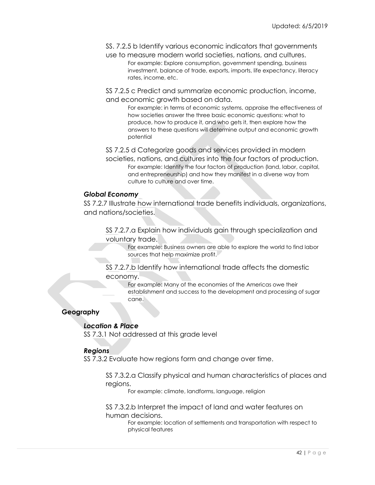SS. 7.2.5 b Identify various economic indicators that governments

use to measure modern world societies, nations, and cultures. For example: Explore consumption, government spending, business investment, balance of trade, exports, imports, life expectancy, literacy rates, income, etc.

SS 7.2.5 c Predict and summarize economic production, income, and economic growth based on data.

> For example: in terms of economic systems, appraise the effectiveness of how societies answer the three basic economic questions: what to produce, how to produce it, and who gets it, then explore how the answers to these questions will determine output and economic growth potential

SS 7.2.5 d Categorize goods and services provided in modern societies, nations, and cultures into the four factors of production.

For example: Identify the four factors of production (land, labor, capital, and entrepreneurship) and how they manifest in a diverse way from culture to culture and over time.

### *Global Economy*

SS 7.2.7 Illustrate how international trade benefits individuals, organizations, and nations/societies.

SS 7.2.7.a Explain how individuals gain through specialization and voluntary trade.

For example: Business owners are able to explore the world to find labor sources that help maximize profit.

SS 7.2.7.b Identify how international trade affects the domestic economy.

For example: Many of the economies of the Americas owe their establishment and success to the development and processing of sugar cane.

### **Geography**

### *Location & Place*

SS 7.3.1 Not addressed at this grade level

### *Regions*

SS 7.3.2 Evaluate how regions form and change over time.

SS 7.3.2.a Classify physical and human characteristics of places and regions.

For example: climate, landforms, language, religion

SS 7.3.2.b Interpret the impact of land and water features on human decisions.

For example: location of settlements and transportation with respect to physical features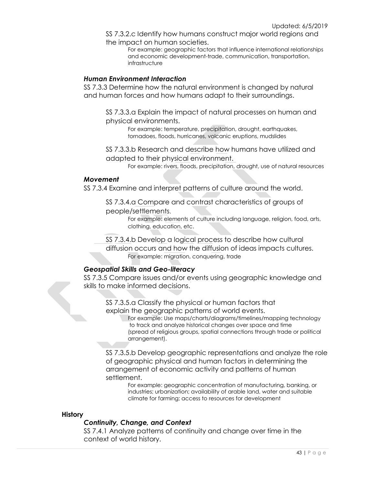SS 7.3.2.c Identify how humans construct major world regions and the impact on human societies.

> For example: geographic factors that influence international relationships and economic development-trade, communication, transportation, infrastructure

# *Human Environment Interaction*

SS 7.3.3 Determine how the natural environment is changed by natural and human forces and how humans adapt to their surroundings.

SS 7.3.3.a Explain the impact of natural processes on human and

physical environments.

For example: temperature, precipitation, drought, earthquakes, tornadoes, floods, hurricanes, volcanic eruptions, mudslides

SS 7.3.3.b Research and describe how humans have utilized and adapted to their physical environment.

For example: rivers, floods, precipitation, drought, use of natural resources

### *Movement*

SS 7.3.4 Examine and interpret patterns of culture around the world.

SS 7.3.4.a Compare and contrast characteristics of groups of people/settlements.

For example: elements of culture including language, religion, food, arts, clothing, education, etc.

SS 7.3.4.b Develop a logical process to describe how cultural diffusion occurs and how the diffusion of ideas impacts cultures. For example: migration, conquering, trade

### *Geospatial Skills and Geo-literacy*

SS 7.3.5 Compare issues and/or events using geographic knowledge and skills to make informed decisions.

SS 7.3.5.a Classify the physical or human factors that explain the geographic patterns of world events.

For example: Use maps/charts/diagrams/timelines/mapping technology to track and analyze historical changes over space and time (spread of religious groups, spatial connections through trade or political arrangement).

SS 7.3.5.b Develop geographic representations and analyze the role of geographic physical and human factors in determining the arrangement of economic activity and patterns of human settlement.

For example: geographic concentration of manufacturing, banking, or industries; urbanization; availability of arable land, water and suitable climate for farming; access to resources for development

### **History**

### *Continuity, Change, and Context*

SS 7.4.1 Analyze patterns of continuity and change over time in the context of world history.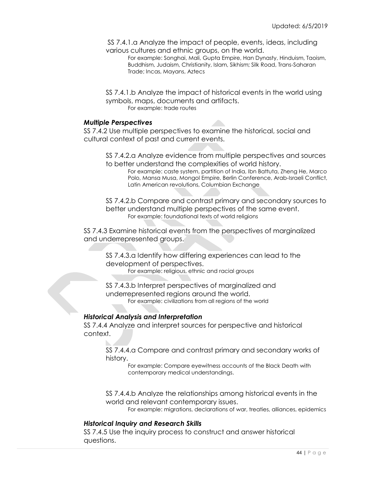SS 7.4.1.a Analyze the impact of people, events, ideas, including various cultures and ethnic groups, on the world.

For example: Songhai, Mali, Gupta Empire, Han Dynasty, Hinduism, Taoism, Buddhism, Judaism, Christianity, Islam, Sikhism; Silk Road, Trans-Saharan Trade; Incas, Mayans, Aztecs

SS 7.4.1.b Analyze the impact of historical events in the world using symbols, maps, documents and artifacts. For example: trade routes

#### *Multiple Perspectives*

SS 7.4.2 Use multiple perspectives to examine the historical, social and cultural context of past and current events.

SS 7.4.2.a Analyze evidence from multiple perspectives and sources to better understand the complexities of world history.

For example: caste system, partition of India, Ibn Battuta, Zheng He, Marco Polo, Mansa Musa, Mongol Empire, Berlin Conference, Arab-Israeli Conflict, Latin American revolutions, Columbian Exchange

SS 7.4.2.b Compare and contrast primary and secondary sources to better understand multiple perspectives of the same event. For example: foundational texts of world religions

SS 7.4.3 Examine historical events from the perspectives of marginalized and underrepresented groups.

SS 7.4.3.a Identify how differing experiences can lead to the development of perspectives.

For example: religious, ethnic and racial groups

SS 7.4.3.b Interpret perspectives of marginalized and underrepresented regions around the world. For example: civilizations from all regions of the world

### *Historical Analysis and Interpretation*

SS 7.4.4 Analyze and interpret sources for perspective and historical context.

SS 7.4.4.a Compare and contrast primary and secondary works of history.

For example: Compare eyewitness accounts of the Black Death with contemporary medical understandings.

SS 7.4.4.b Analyze the relationships among historical events in the world and relevant contemporary issues.

For example: migrations, declarations of war, treaties, alliances, epidemics

### *Historical Inquiry and Research Skills*

SS 7.4.5 Use the inquiry process to construct and answer historical questions.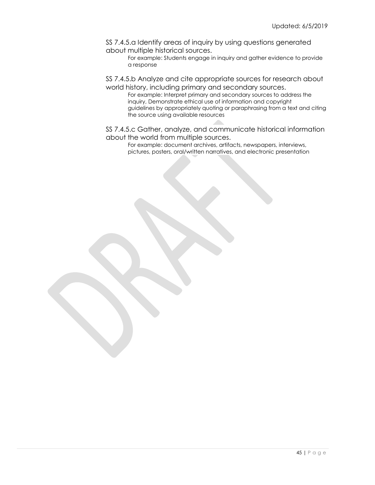SS 7.4.5.a Identify areas of inquiry by using questions generated about multiple historical sources.

For example: Students engage in inquiry and gather evidence to provide a response

SS 7.4.5.b Analyze and cite appropriate sources for research about world history, including primary and secondary sources.

For example: Interpret primary and secondary sources to address the inquiry, Demonstrate ethical use of information and copyright guidelines by appropriately quoting or paraphrasing from a text and citing the source using available resources

SS 7.4.5.c Gather, analyze, and communicate historical information about the world from multiple sources.

For example: document archives, artifacts, newspapers, interviews, pictures, posters, oral/written narratives, and electronic presentation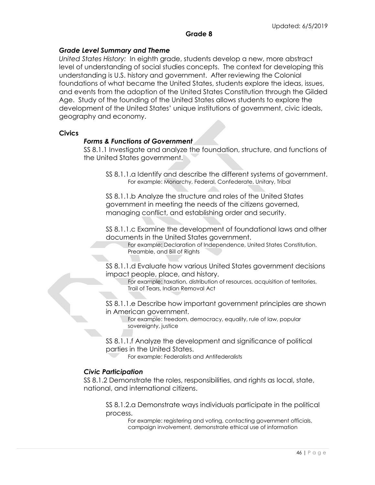### **Grade 8**

### *Grade Level Summary and Theme*

*United States History:* In eighth grade, students develop a new, more abstract level of understanding of social studies concepts. The context for developing this understanding is U.S. history and government. After reviewing the Colonial foundations of what became the United States, students explore the ideas, issues, and events from the adoption of the United States Constitution through the Gilded Age. Study of the founding of the United States allows students to explore the development of the United States' unique institutions of government, civic ideals, geography and economy.

#### **Civics**

### *Forms & Functions of Government*

SS 8.1.1 Investigate and analyze the foundation, structure, and functions of the United States government.

SS 8.1.1.a Identify and describe the different systems of government. For example: Monarchy, Federal, Confederate, Unitary, Tribal

SS 8.1.1.b Analyze the structure and roles of the United States government in meeting the needs of the citizens governed, managing conflict, and establishing order and security.

SS 8.1.1.c Examine the development of foundational laws and other documents in the United States government.

For example: Declaration of Independence, United States Constitution, Preamble, and Bill of Rights

SS 8.1.1.d Evaluate how various United States government decisions impact people, place, and history.

For example: taxation, distribution of resources, acquisition of territories, Trail of Tears, Indian Removal Act

SS 8.1.1.e Describe how important government principles are shown in American government.

For example: freedom, democracy, equality, rule of law, popular sovereignty, justice

SS 8.1.1.f Analyze the development and significance of political parties in the United States.

For example: Federalists and Antifederalists

#### *Civic Participation*

SS 8.1.2 Demonstrate the roles, responsibilities, and rights as local, state, national, and international citizens.

SS 8.1.2.a Demonstrate ways individuals participate in the political process.

For example: registering and voting, contacting government officials, campaign involvement, demonstrate ethical use of information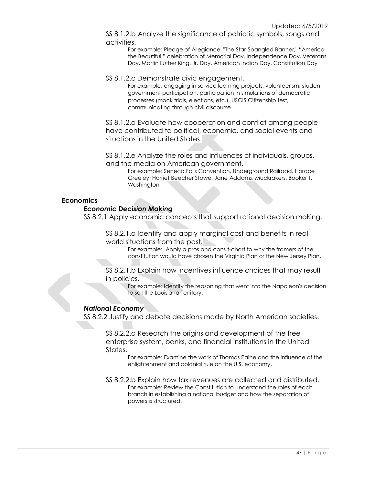SS 8.1.2.b Analyze the significance of patriotic symbols, songs and activities.

> For example: Pledge of Allegiance, "The Star-Spangled Banner," "America the Beautiful," celebration of Memorial Day, Independence Day, Veterans Day, Martin Luther King, Jr. Day, American Indian Day, Constitution Day

SS 8.1.2.c Demonstrate civic engagement.

For example: engaging in service learning projects, volunteerism, student government participation, participation in simulations of democratic processes (mock trials, elections, etc.), USCIS Citizenship test, communicating through civil discourse

SS 8.1.2.d Evaluate how cooperation and conflict among people have contributed to political, economic, and social events and situations in the United States.

SS 8.1.2.e Analyze the roles and influences of individuals, groups, and the media on American government.

For example: Seneca Falls Convention, Underground Railroad, Horace Greeley, Harriet Beecher Stowe, Jane Addams, Muckrakers, Booker T. Washington

### **Economics**

#### *Economic Decision Making*

SS 8.2.1 Apply economic concepts that support rational decision making.

SS 8.2.1.a Identify and apply marginal cost and benefits in real world situations from the past.

For example: Apply a pros and cons t-chart to why the framers of the constitution would have chosen the Virginia Plan or the New Jersey Plan.

SS 8.2.1.b Explain how incentives influence choices that may result in policies.

For example: Identify the reasoning that went into the Napoleon's decision to sell the Louisiana Territory.

# *National Economy*

SS 8.2.2 Justify and debate decisions made by North American societies.

SS 8.2.2.a Research the origins and development of the free enterprise system, banks, and financial institutions in the United States.

> For example: Examine the work of Thomas Paine and the influence of the enlightenment and colonial rule on the U.S. economy.

SS 8.2.2.b Explain how tax revenues are collected and distributed. For example: Review the Constitution to understand the roles of each branch in establishing a national budget and how the separation of powers is structured.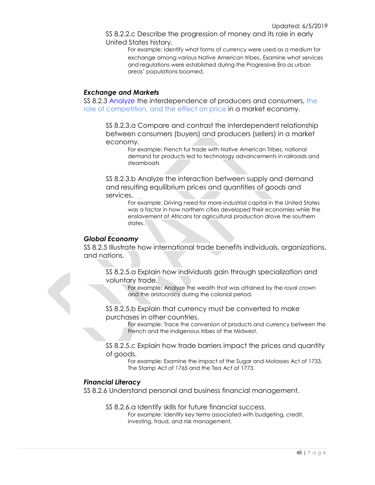SS 8.2.2.c Describe the progression of money and its role in early United States history.

> For example: Identify what forms of currency were used as a medium for exchange among various Native American tribes. Examine what services and regulations were established during the Progressive Era as urban areas' populations boomed.

#### *Exchange and Markets*

SS 8.2.3 Analyze the interdependence of producers and consumers, the role of competition, and the effect on price in a market economy.

SS 8.2.3.a Compare and contrast the interdependent relationship between consumers (buyers) and producers (sellers) in a market economy.

For example: French fur trade with Native American Tribes, national demand for products led to technology advancements in railroads and steamboats

SS 8.2.3.b Analyze the interaction between supply and demand and resulting equilibrium prices and quantities of goods and services.

> For example: Driving need for more industrial capital in the United States was a factor in how northern cities developed their economies while the enslavement of Africans for agricultural production drove the southern states.

#### *Global Economy*

SS 8.2.5 Illustrate how international trade benefits individuals, organizations, and nations.

SS 8.2.5.a Explain how individuals gain through specialization and voluntary trade.

> For example: Analyze the wealth that was attained by the royal crown and the aristocracy during the colonial period.

SS 8.2.5.b Explain that currency must be converted to make purchases in other countries.

> For example: Trace the conversion of products and currency between the French and the indigenous tribes of the Midwest.

SS 8.2.5.c Explain how trade barriers impact the prices and quantity of goods.

For example: Examine the impact of the Sugar and Molasses Act of 1733, The Stamp Act of 1765 and the Tea Act of 1773.

#### *Financial Literacy*

SS 8.2.6 Understand personal and business financial management.

#### SS 8.2.6.a Identify skills for future financial success.

For example: Identify key terms associated with budgeting, credit, investing, fraud, and risk management.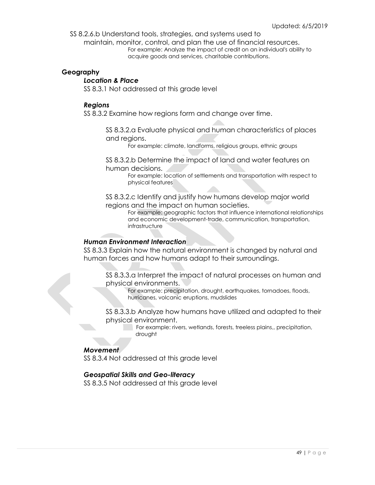SS 8.2.6.b Understand tools, strategies, and systems used to

maintain, monitor, control, and plan the use of financial resources. For example: Analyze the impact of credit on an individual's ability to acquire goods and services, charitable contributions.

### **Geography**

### *Location & Place*

SS 8.3.1 Not addressed at this grade level

#### *Regions*

SS 8.3.2 Examine how regions form and change over time.

SS 8.3.2.a Evaluate physical and human characteristics of places and regions.

For example: climate, landforms, religious groups, ethnic groups

SS 8.3.2.b Determine the impact of land and water features on human decisions.

> For example: location of settlements and transportation with respect to physical features

SS 8.3.2.c Identify and justify how humans develop major world regions and the impact on human societies.

> For example: geographic factors that influence international relationships and economic development-trade, communication, transportation, infrastructure

### *Human Environment Interaction*

SS 8.3.3 Explain how the natural environment is changed by natural and human forces and how humans adapt to their surroundings.

SS 8.3.3.a Interpret the impact of natural processes on human and physical environments.

For example: precipitation, drought, earthquakes, tornadoes, floods, hurricanes, volcanic eruptions, mudslides

SS 8.3.3.b Analyze how humans have utilized and adapted to their physical environment.

> For example: rivers, wetlands, forests, treeless plains,, precipitation, drought

#### *Movement*

SS 8.3.4 Not addressed at this grade level

#### *Geospatial Skills and Geo-literacy*

SS 8.3.5 Not addressed at this grade level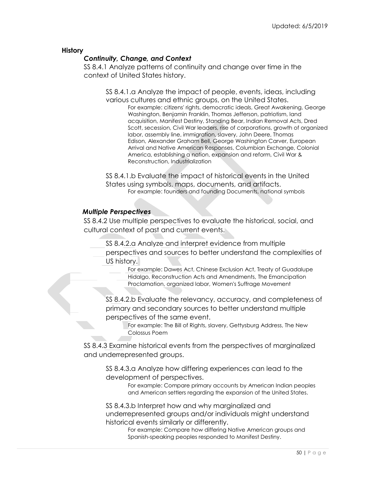### **History**

### *Continuity, Change, and Context*

SS 8.4.1 Analyze patterns of continuity and change over time in the context of United States history.

SS 8.4.1.a Analyze the impact of people, events, ideas, including various cultures and ethnic groups, on the United States.

For example: citizens' rights, democratic ideals, Great Awakening, George Washington, Benjamin Franklin, Thomas Jefferson, patriotism, land acquisition, Manifest Destiny, Standing Bear, Indian Removal Acts, Dred Scott, secession, Civil War leaders, rise of corporations, growth of organized labor, assembly line, immigration, slavery, John Deere, Thomas Edison, Alexander Graham Bell, George Washington Carver, European Arrival and Native American Responses, Columbian Exchange, Colonial America, establishing a nation, expansion and reform, Civil War & Reconstruction, Industrialization

SS 8.4.1.b Evaluate the impact of historical events in the United States using symbols, maps, documents, and artifacts. For example: founders and founding Documents, national symbols

### *Multiple Perspectives*

SS 8.4.2 Use multiple perspectives to evaluate the historical, social, and cultural context of past and current events.

SS 8.4.2.a Analyze and interpret evidence from multiple perspectives and sources to better understand the complexities of US history.

For example: Dawes Act, Chinese Exclusion Act, Treaty of Guadalupe Hidalgo, Reconstruction Acts and Amendments, The Emancipation Proclamation, organized labor, Women's Suffrage Movement

SS 8.4.2.b Evaluate the relevancy, accuracy, and completeness of primary and secondary sources to better understand multiple perspectives of the same event.

For example: The Bill of Rights, slavery, Gettysburg Address, The New Colossus Poem

SS 8.4.3 Examine historical events from the perspectives of marginalized and underrepresented groups.

SS 8.4.3.a Analyze how differing experiences can lead to the development of perspectives.

> For example: Compare primary accounts by American Indian peoples and American settlers regarding the expansion of the United States.

SS 8.4.3.b Interpret how and why marginalized and underrepresented groups and/or individuals might understand historical events similarly or differently.

For example: Compare how differing Native American groups and Spanish-speaking peoples responded to Manifest Destiny.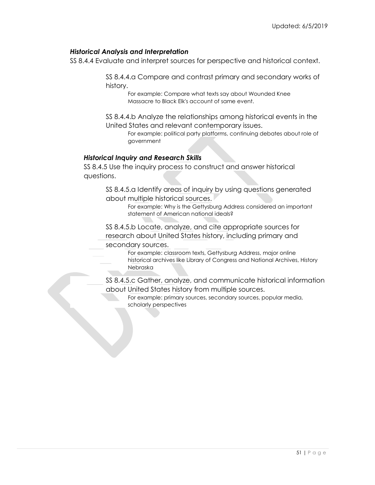### *Historical Analysis and Interpretation*

SS 8.4.4 Evaluate and interpret sources for perspective and historical context.

SS 8.4.4.a Compare and contrast primary and secondary works of history.

> For example: Compare what texts say about Wounded Knee Massacre to Black Elk's account of same event.

SS 8.4.4.b Analyze the relationships among historical events in the United States and relevant contemporary issues.

For example: political party platforms, continuing debates about role of government

#### *Historical Inquiry and Research Skills*

SS 8.4.5 Use the inquiry process to construct and answer historical questions.

> SS 8.4.5.a Identify areas of inquiry by using questions generated about multiple historical sources.

For example: Why is the Gettysburg Address considered an important statement of American national ideals?

SS 8.4.5.b Locate, analyze, and cite appropriate sources for research about United States history, including primary and secondary sources.

> For example: classroom texts, Gettysburg Address, major online historical archives like Library of Congress and National Archives, History Nebraska

SS 8.4.5.c Gather, analyze, and communicate historical information about United States history from multiple sources.

For example: primary sources, secondary sources, popular media, scholarly perspectives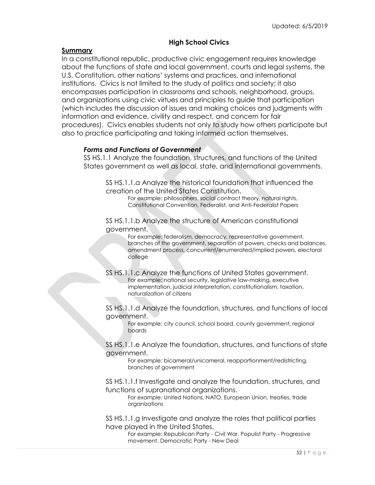# **High School Civics**

### **Summary**

In a constitutional republic, productive civic engagement requires knowledge about the functions of state and local government, courts and legal systems, the U.S. Constitution, other nations' systems and practices, and international institutions. Civics is not limited to the study of politics and society; it also encompasses participation in classrooms and schools, neighborhood, groups, and organizations using civic virtues and principles to guide that participation (which includes the discussion of issues and making choices and judgments with information and evidence, civility and respect, and concern for fair procedures). Civics enables students not only to study how others participate but also to practice participating and taking informed action themselves.

### *Forms and Functions of Government*

SS HS.1.1 Analyze the foundation, structures, and functions of the United States government as well as local, state, and international governments.

SS HS.1.1.a Analyze the historical foundation that influenced the creation of the United States Constitution.

For example: philosophers, social contract theory, natural rights, Constitutional Convention, Federalist, and Anti-Federalist Papers

SS HS.1.1.b Analyze the structure of American constitutional government.

> For example: federalism, democracy, representative government, branches of the government, separation of powers, checks and balances, amendment process, concurrent/enumerated/implied powers, electoral college

SS HS.1.1.c Analyze the functions of United States government. For example: national security, legislative law-making, executive implementation, judicial interpretation, constitutionalism, taxation, naturalization of citizens

SS HS.1.1.d Analyze the foundation, structures, and functions of local government.

For example: city council, school board, county government, regional boards

SS HS.1.1.e Analyze the foundation, structures, and functions of state government.

For example: bicameral/unicameral, reapportionment/redistricting, branches of government

SS HS.1.1.f Investigate and analyze the foundation, structures, and functions of supranational organizations.

For example: United Nations, NATO, European Union, treaties, trade organizations

SS HS.1.1.g Investigate and analyze the roles that political parties have played in the United States.

> For example: Republican Party - Civil War, Populist Party - Progressive movement, Democratic Party - New Deal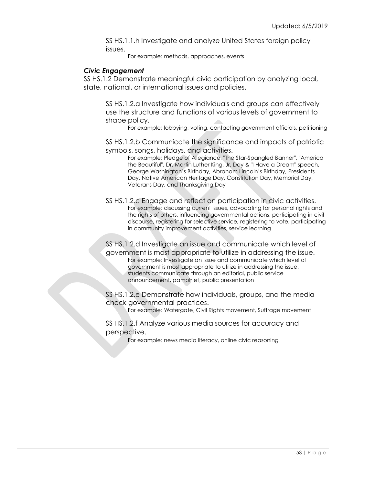SS HS.1.1.h Investigate and analyze United States foreign policy issues.

For example: methods, approaches, events

### *Civic Engagement*

SS HS.1.2 Demonstrate meaningful civic participation by analyzing local, state, national, or international issues and policies.

SS HS.1.2.a Investigate how individuals and groups can effectively use the structure and functions of various levels of government to shape policy.

For example: lobbying, voting, contacting government officials, petitioning

SS HS.1.2.b Communicate the significance and impacts of patriotic symbols, songs, holidays, and activities.

For example: Pledge of Allegiance, "The Star-Spangled Banner", "America the Beautiful", Dr. Martin Luther King, Jr. Day & "I Have a Dream" speech, George Washington's Birthday, Abraham Lincoln's Birthday, Presidents Day, Native American Heritage Day, Constitution Day, Memorial Day, Veterans Day, and Thanksgiving Day

SS HS.1.2.c Engage and reflect on participation in civic activities. For example: discussing current issues, advocating for personal rights and the rights of others, influencing governmental actions, participating in civil discourse, registering for selective service, registering to vote, participating in community improvement activities, service learning

SS HS.1.2.d Investigate an issue and communicate which level of government is most appropriate to utilize in addressing the issue. For example: Investigate an issue and communicate which level of government is most appropriate to utilize in addressing the issue, students communicate through an editorial, public service announcement, pamphlet, public presentation

SS HS.1.2.e Demonstrate how individuals, groups, and the media check governmental practices.

For example: Watergate, Civil Rights movement, Suffrage movement

SS HS.1.2.f Analyze various media sources for accuracy and perspective.

For example: news media literacy, online civic reasoning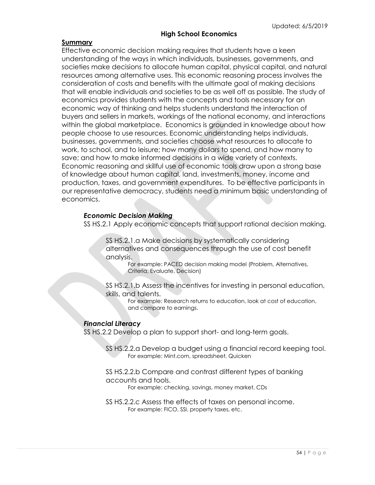# **High School Economics**

### **Summary**

Effective economic decision making requires that students have a keen understanding of the ways in which individuals, businesses, governments, and societies make decisions to allocate human capital, physical capital, and natural resources among alternative uses. This economic reasoning process involves the consideration of costs and benefits with the ultimate goal of making decisions that will enable individuals and societies to be as well off as possible. The study of economics provides students with the concepts and tools necessary for an economic way of thinking and helps students understand the interaction of buyers and sellers in markets, workings of the national economy, and interactions within the global marketplace. Economics is grounded in knowledge about how people choose to use resources. Economic understanding helps individuals, businesses, governments, and societies choose what resources to allocate to work, to school, and to leisure; how many dollars to spend, and how many to save; and how to make informed decisions in a wide variety of contexts. Economic reasoning and skillful use of economic tools draw upon a strong base of knowledge about human capital, land, investments, money, income and production, taxes, and government expenditures. To be effective participants in our representative democracy, students need a minimum basic understanding of economics.

### *Economic Decision Making*

SS HS.2.1 Apply economic concepts that support rational decision making.

SS HS.2.1.a Make decisions by systematically considering alternatives and consequences through the use of cost benefit analysis.

For example: PACED decision making model (Problem, Alternatives, Criteria, Evaluate, Decision)

SS HS.2.1.b Assess the incentives for investing in personal education, skills, and talents.

For example: Research returns to education, look at cost of education, and compare to earnings.

### *Financial Literacy*

SS HS.2.2 Develop a plan to support short- and long-term goals.

- SS HS.2.2.a Develop a budget using a financial record keeping tool. For example: Mint.com, spreadsheet, Quicken
- SS HS.2.2.b Compare and contrast different types of banking accounts and tools.

For example: checking, savings, money market, CDs

SS HS.2.2.c Assess the effects of taxes on personal income. For example: FICO, SSI, property taxes, etc.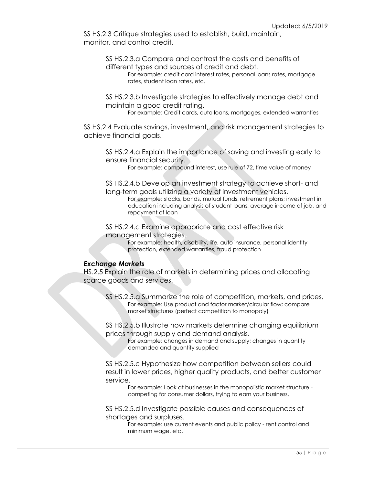SS HS.2.3 Critique strategies used to establish, build, maintain, monitor, and control credit.

> SS HS.2.3.a Compare and contrast the costs and benefits of different types and sources of credit and debt.

For example: credit card interest rates, personal loans rates, mortgage rates, student loan rates, etc.

SS HS.2.3.b Investigate strategies to effectively manage debt and maintain a good credit rating.

For example: Credit cards, auto loans, mortgages, extended warranties

SS HS.2.4 Evaluate savings, investment, and risk management strategies to achieve financial goals.

SS HS.2.4.a Explain the importance of saving and investing early to ensure financial security.

For example: compound interest, use rule of 72, time value of money

SS HS.2.4.b Develop an investment strategy to achieve short- and long-term goals utilizing a variety of investment vehicles.

For example: stocks, bonds, mutual funds, retirement plans; investment in education including analysis of student loans, average income of job, and repayment of loan

SS HS.2.4.c Examine appropriate and cost effective risk management strategies.

> For example: health, disability, life, auto insurance, personal identity protection, extended warranties, fraud protection

### *Exchange Markets*

HS.2.5 Explain the role of markets in determining prices and allocating scarce goods and services.

SS HS.2.5.a Summarize the role of competition, markets, and prices. For example: Use product and factor market/circular flow; compare market structures (perfect competition to monopoly)

SS HS.2.5.b Illustrate how markets determine changing equilibrium prices through supply and demand analysis.

For example: changes in demand and supply; changes in quantity demanded and quantity supplied

SS HS.2.5.c Hypothesize how competition between sellers could result in lower prices, higher quality products, and better customer service.

For example: Look at businesses in the monopolistic market structure competing for consumer dollars, trying to earn your business.

SS HS.2.5.d Investigate possible causes and consequences of shortages and surpluses.

> For example: use current events and public policy - rent control and minimum wage, etc.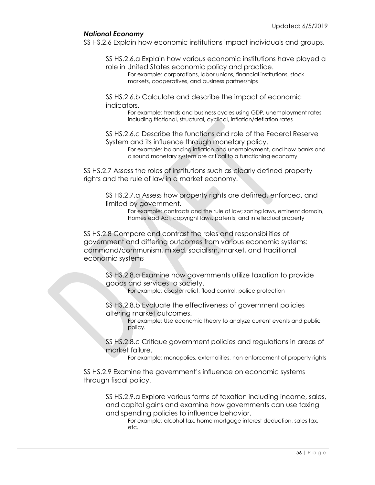# *National Economy*

SS HS.2.6 Explain how economic institutions impact individuals and groups.

SS HS.2.6.a Explain how various economic institutions have played a

role in United States economic policy and practice. For example: corporations, labor unions, financial institutions, stock markets, cooperatives, and business partnerships

SS HS.2.6.b Calculate and describe the impact of economic indicators.

For example: trends and business cycles using GDP, unemployment rates including frictional, structural, cyclical, inflation/deflation rates

SS HS.2.6.c Describe the functions and role of the Federal Reserve System and its influence through monetary policy.

For example: balancing inflation and unemployment, and how banks and a sound monetary system are critical to a functioning economy

SS HS.2.7 Assess the roles of institutions such as clearly defined property rights and the rule of law in a market economy.

SS HS.2.7.a Assess how property rights are defined, enforced, and limited by government.

> For example: contracts and the rule of law; zoning laws, eminent domain, Homestead Act, copyright laws, patents, and intellectual property

SS HS.2.8 Compare and contrast the roles and responsibilities of government and differing outcomes from various economic systems: command/communism, mixed, socialism, market, and traditional economic systems

SS HS.2.8.a Examine how governments utilize taxation to provide goods and services to society.

For example: disaster relief, flood control, police protection

SS HS.2.8.b Evaluate the effectiveness of government policies altering market outcomes.

> For example: Use economic theory to analyze current events and public policy.

SS HS.2.8.c Critique government policies and regulations in areas of market failure.

For example: monopolies, externalities, non-enforcement of property rights

SS HS.2.9 Examine the government's influence on economic systems through fiscal policy.

SS HS.2.9.a Explore various forms of taxation including income, sales, and capital gains and examine how governments can use taxing and spending policies to influence behavior.

For example: alcohol tax, home mortgage interest deduction, sales tax, etc.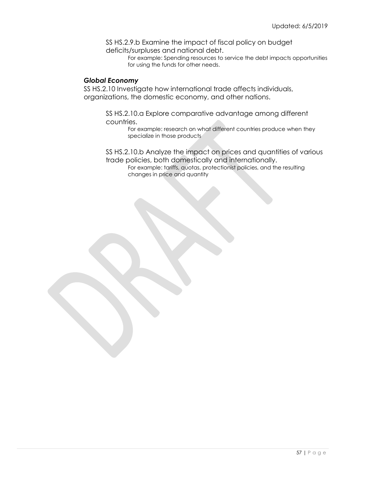SS HS.2.9.b Examine the impact of fiscal policy on budget deficits/surpluses and national debt.

> For example: Spending resources to service the debt impacts opportunities for using the funds for other needs.

#### *Global Economy*

SS HS.2.10 Investigate how international trade affects individuals, organizations, the domestic economy, and other nations.

> SS HS.2.10.a Explore comparative advantage among different countries.

For example: research on what different countries produce when they specialize in those products

SS HS.2.10.b Analyze the impact on prices and quantities of various trade policies, both domestically and internationally.

For example: tariffs, quotas, protectionist policies, and the resulting changes in price and quantity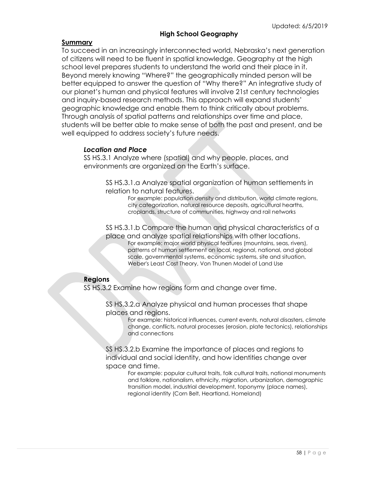# **High School Geography**

# **Summary**

To succeed in an increasingly interconnected world, Nebraska's next generation of citizens will need to be fluent in spatial knowledge. Geography at the high school level prepares students to understand the world and their place in it. Beyond merely knowing "Where?" the geographically minded person will be better equipped to answer the question of "Why there?" An integrative study of our planet's human and physical features will involve 21st century technologies and inquiry-based research methods. This approach will expand students' geographic knowledge and enable them to think critically about problems. Through analysis of spatial patterns and relationships over time and place, students will be better able to make sense of both the past and present, and be well equipped to address society's future needs.

### *Location and Place*

SS HS.3.1 Analyze where (spatial) and why people, places, and environments are organized on the Earth's surface.

> SS HS.3.1.a Analyze spatial organization of human settlements in relation to natural features.

For example: population density and distribution, world climate regions, city categorization, natural resource deposits, agricultural hearths, croplands, structure of communities, highway and rail networks

SS HS.3.1.b Compare the human and physical characteristics of a place and analyze spatial relationships with other locations. For example: major world physical features (mountains, seas, rivers), patterns of human settlement on local, regional, national, and global scale, governmental systems, economic systems, site and situation, Weber's Least Cost Theory, Von Thunen Model of Land Use

### **Regions**

SS HS.3.2 Examine how regions form and change over time.

SS HS.3.2.a Analyze physical and human processes that shape places and regions.

> For example: historical influences, current events, natural disasters, climate change, conflicts, natural processes (erosion, plate tectonics), relationships and connections

SS HS.3.2.b Examine the importance of places and regions to individual and social identity, and how identities change over space and time.

> For example: popular cultural traits, folk cultural traits, national monuments and folklore, nationalism, ethnicity, migration, urbanization, demographic transition model, industrial development, toponymy (place names), regional identity (Corn Belt, Heartland, Homeland)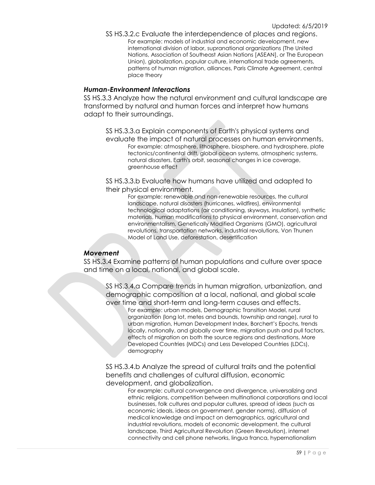SS HS.3.2.c Evaluate the interdependence of places and regions. For example: models of industrial and economic development, new international division of labor, supranational organizations (The United Nations, Association of Southeast Asian Nations [ASEAN], or The European Union), globalization, popular culture, international trade agreements, patterns of human migration, alliances, Paris Climate Agreement, central place theory

### *Human-Environment Interactions*

SS HS.3.3 Analyze how the natural environment and cultural landscape are transformed by natural and human forces and interpret how humans adapt to their surroundings.

SS HS.3.3.a Explain components of Earth's physical systems and evaluate the impact of natural processes on human environments. For example: atmosphere, lithosphere, biosphere, and hydrosphere, plate tectonics/continental drift, global ocean systems, atmospheric systems, natural disasters, Earth's orbit, seasonal changes in ice coverage, greenhouse effect

SS HS.3.3.b Evaluate how humans have utilized and adapted to their physical environment.

> For example: renewable and non-renewable resources, the cultural landscape, natural disasters (hurricanes, wildfires), environmental technological adaptations (air conditioning, skyways, insulation), synthetic materials, human modifications to physical environment, conservation and environmentalism, Genetically Modified Organisms (GMO), agricultural revolutions, transportation networks, industrial revolutions, Von Thunen Model of Land Use, deforestation, desertification

### *Movement*

SS HS.3.4 Examine patterns of human populations and culture over space and time on a local, national, and global scale.

SS HS.3.4.a Compare trends in human migration, urbanization, and demographic composition at a local, national, and global scale over time and short-term and long-term causes and effects.

> For example: urban models, Demographic Transition Model, rural organization (long lot, metes and bounds, township and range), rural to urban migration, Human Development Index, Borchert's Epochs, trends locally, nationally, and globally over time, migration push and pull factors, effects of migration on both the source regions and destinations, More Developed Countries (MDCs) and Less Developed Countries (LDCs), demography

SS HS.3.4.b Analyze the spread of cultural traits and the potential benefits and challenges of cultural diffusion, economic development, and globalization.

For example: cultural convergence and divergence, universalizing and ethnic religions, competition between multinational corporations and local businesses, folk cultures and popular cultures, spread of ideas (such as economic ideals, ideas on government, gender norms), diffusion of medical knowledge and impact on demographics, agricultural and industrial revolutions, models of economic development, the cultural landscape, Third Agricultural Revolution (Green Revolution), internet connectivity and cell phone networks, lingua franca, hypernationalism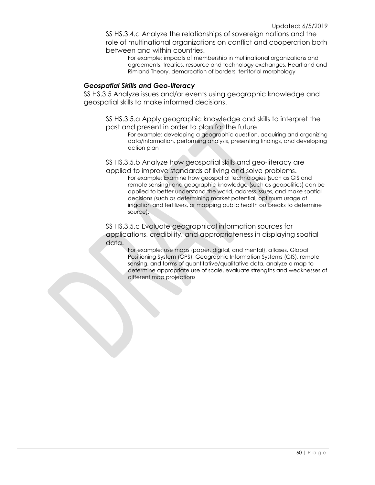SS HS.3.4.c Analyze the relationships of sovereign nations and the role of multinational organizations on conflict and cooperation both between and within countries.

For example: impacts of membership in multinational organizations and agreements, treaties, resource and technology exchanges, Heartland and Rimland Theory, demarcation of borders, territorial morphology

#### *Geospatial Skills and Geo-literacy*

SS HS.3.5 Analyze issues and/or events using geographic knowledge and geospatial skills to make informed decisions.

SS HS.3.5.a Apply geographic knowledge and skills to interpret the past and present in order to plan for the future.

For example: developing a geographic question, acquiring and organizing data/information, performing analysis, presenting findings, and developing action plan

SS HS.3.5.b Analyze how geospatial skills and geo-literacy are applied to improve standards of living and solve problems.

For example: Examine how geospatial technologies (such as GIS and remote sensing) and geographic knowledge (such as geopolitics) can be applied to better understand the world, address issues, and make spatial decisions (such as determining market potential, optimum usage of irrigation and fertilizers, or mapping public health outbreaks to determine source).

SS HS.3.5.c Evaluate geographical information sources for applications, credibility, and appropriateness in displaying spatial data.

> For example: use maps (paper, digital, and mental), atlases, Global Positioning System (GPS), Geographic Information Systems (GIS), remote sensing, and forms of quantitative/qualitative data, analyze a map to determine appropriate use of scale, evaluate strengths and weaknesses of different map projections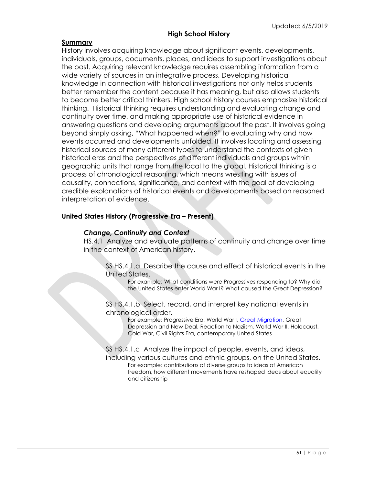# **High School History**

### **Summary**

History involves acquiring knowledge about significant events, developments, individuals, groups, documents, places, and ideas to support investigations about the past. Acquiring relevant knowledge requires assembling information from a wide variety of sources in an integrative process. Developing historical knowledge in connection with historical investigations not only helps students better remember the content because it has meaning, but also allows students to become better critical thinkers. High school history courses emphasize historical thinking. Historical thinking requires understanding and evaluating change and continuity over time, and making appropriate use of historical evidence in answering questions and developing arguments about the past. It involves going beyond simply asking, "What happened when?" to evaluating why and how events occurred and developments unfolded. It involves locating and assessing historical sources of many different types to understand the contexts of given historical eras and the perspectives of different individuals and groups within geographic units that range from the local to the global. Historical thinking is a process of chronological reasoning, which means wrestling with issues of causality, connections, significance, and context with the goal of developing credible explanations of historical events and developments based on reasoned interpretation of evidence.

# **United States History (Progressive Era – Present)**

# *Change, Continuity and Context*

HS.4.1 Analyze and evaluate patterns of continuity and change over time in the context of American history.

SS HS.4.1.a Describe the cause and effect of historical events in the United States.

For example: What conditions were Progressives responding to? Why did the United States enter World War I? What caused the Great Depression?

SS HS.4.1.b Select, record, and interpret key national events in chronological order.

For example: Progressive Era, World War I, Great Migration, Great Depression and New Deal, Reaction to Naziism, World War II, Holocaust, Cold War, Civil Rights Era, contemporary United States

SS HS.4.1.c Analyze the impact of people, events, and ideas, including various cultures and ethnic groups, on the United States. For example: contributions of diverse groups to ideas of American freedom, how different movements have reshaped ideas about equality and citizenship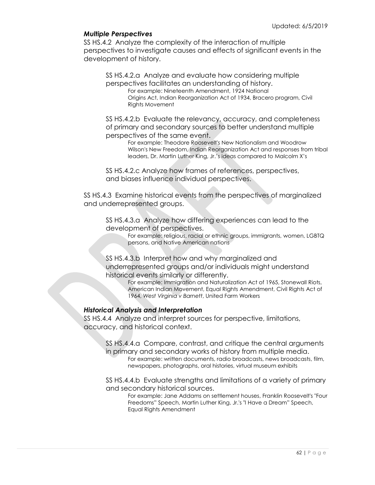# *Multiple Perspectives*

SS HS.4.2 Analyze the complexity of the interaction of multiple perspectives to investigate causes and effects of significant events in the development of history.

SS HS.4.2.a Analyze and evaluate how considering multiple perspectives facilitates an understanding of history.

For example: Nineteenth Amendment, 1924 National Origins Act, Indian Reorganization Act of 1934, Bracero program, Civil Rights Movement

SS HS.4.2.b Evaluate the relevancy, accuracy, and completeness of primary and secondary sources to better understand multiple perspectives of the same event.

For example: Theodore Roosevelt's New Nationalism and Woodrow Wilson's New Freedom, Indian Reorganization Act and responses from tribal leaders, Dr. Martin Luther King, Jr.'s ideas compared to Malcolm X's

SS HS.4.2.c Analyze how frames of references, perspectives, and biases influence individual perspectives.

SS HS.4.3 Examine historical events from the perspectives of marginalized and underrepresented groups.

SS HS.4.3.a Analyze how differing experiences can lead to the development of perspectives.

For example: religious, racial or ethnic groups, immigrants, women, LGBTQ persons, and Native American nations

SS HS.4.3.b Interpret how and why marginalized and underrepresented groups and/or individuals might understand historical events similarly or differently.

For example: Immigration and Naturalization Act of 1965, Stonewall Riots, American Indian Movement, Equal Rights Amendment, Civil Rights Act of 1964, *West Virginia v Barnett*, United Farm Workers

# *Historical Analysis and Interpretation*

SS HS.4.4 Analyze and interpret sources for perspective, limitations, accuracy, and historical context.

SS HS.4.4.a Compare, contrast, and critique the central arguments in primary and secondary works of history from multiple media. For example: written documents, radio broadcasts, news broadcasts, film, newspapers, photographs, oral histories, virtual museum exhibits

SS HS.4.4.b Evaluate strengths and limitations of a variety of primary and secondary historical sources.

For example: Jane Addams on settlement houses, Franklin Roosevelt's "Four Freedoms" Speech, Martin Luther King, Jr.'s "I Have a Dream" Speech, Equal Rights Amendment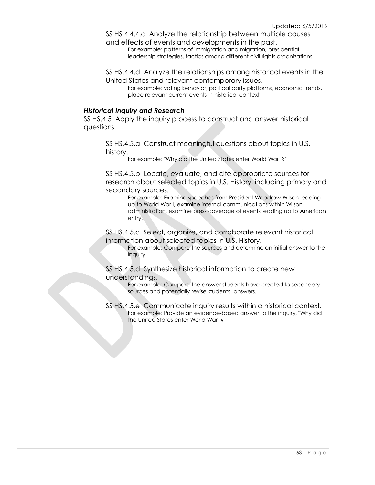SS HS 4.4.4.c Analyze the relationship between multiple causes and effects of events and developments in the past.

For example: patterns of immigration and migration, presidential leadership strategies, tactics among different civil rights organizations

SS HS.4.4.d Analyze the relationships among historical events in the United States and relevant contemporary issues.

For example: voting behavior, political party platforms, economic trends, place relevant current events in historical context

#### *Historical Inquiry and Research*

SS HS.4.5 Apply the inquiry process to construct and answer historical questions.

SS HS.4.5.a Construct meaningful questions about topics in U.S. history.

For example: "Why did the United States enter World War I?"

SS HS.4.5.b Locate, evaluate, and cite appropriate sources for research about selected topics in U.S. History, including primary and secondary sources.

For example: Examine speeches from President Woodrow Wilson leading up to World War I, examine internal communications within Wilson administration, examine press coverage of events leading up to American entry.

SS HS.4.5.c Select, organize, and corroborate relevant historical information about selected topics in U.S. History.

For example: Compare the sources and determine an initial answer to the inquiry.

### SS HS.4.5.d Synthesize historical information to create new understandings.

For example: Compare the answer students have created to secondary sources and potentially revise students' answers.

SS HS.4.5.e Communicate inquiry results within a historical context. For example: Provide an evidence-based answer to the inquiry, "Why did the United States enter World War I?"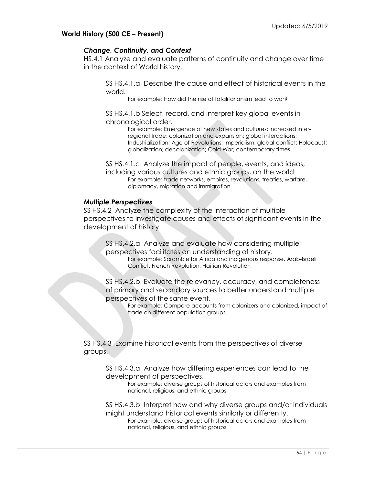# **World History (500 CE – Present)**

### *Change, Continuity, and Context*

HS.4.1 Analyze and evaluate patterns of continuity and change over time in the context of World history.

SS HS.4.1.a Describe the cause and effect of historical events in the world.

For example: How did the rise of totalitarianism lead to war?

SS HS.4.1.b Select, record, and interpret key global events in chronological order.

> For example: Emergence of new states and cultures; increased interregional trade; colonization and expansion; global interactions; Industrialization; Age of Revolutions; Imperialism; global conflict; Holocaust; globalization; decolonization; Cold War; contemporary times

SS HS.4.1.c Analyze the impact of people, events, and ideas, including various cultures and ethnic groups, on the world. For example: trade networks, empires, revolutions, treaties, warfare, diplomacy, migration and immigration

#### *Multiple Perspectives*

SS HS.4.2 Analyze the complexity of the interaction of multiple perspectives to investigate causes and effects of significant events in the development of history.

SS HS.4.2.a Analyze and evaluate how considering multiple perspectives facilitates an understanding of history.

For example: Scramble for Africa and indigenous response, Arab-Israeli Conflict, French Revolution, Haitian Revolution

SS HS.4.2.b Evaluate the relevancy, accuracy, and completeness of primary and secondary sources to better understand multiple perspectives of the same event.

For example: Compare accounts from colonizers and colonized, impact of trade on different population groups.

SS HS.4.3 Examine historical events from the perspectives of diverse groups.

> SS HS.4.3.a Analyze how differing experiences can lead to the development of perspectives.

For example: diverse groups of historical actors and examples from national, religious, and ethnic groups

SS HS.4.3.b Interpret how and why diverse groups and/or individuals might understand historical events similarly or differently.

For example: diverse groups of historical actors and examples from national, religious, and ethnic groups